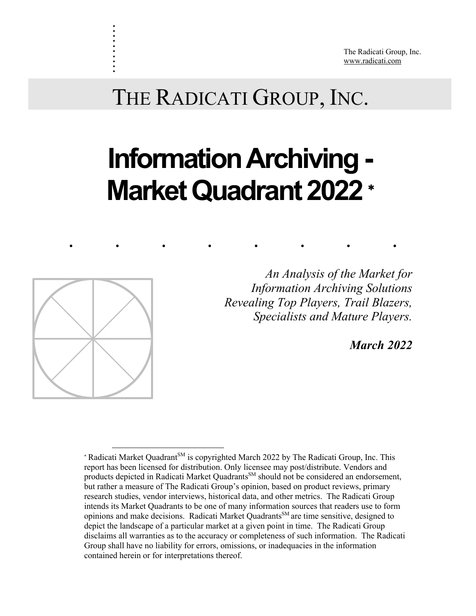The Radicati Group, Inc. www.radicati.com

# THE RADICATI GROUP, INC.

# **Information Archiving -Market Quadrant 2022** \*

........



. . . . . . . . . .

> *Revealing Top Players, Trail Blazers, An Analysis of the Market for Information Archiving Solutions Specialists and Mature Players.*

> > *March 2022*

<sup>\*</sup> Radicati Market Quadrant<sup>SM</sup> is copyrighted March 2022 by The Radicati Group, Inc. This report has been licensed for distribution. Only licensee may post/distribute. Vendors and products depicted in Radicati Market Quadrants<sup>SM</sup> should not be considered an endorsement, but rather a measure of The Radicati Group's opinion, based on product reviews, primary research studies, vendor interviews, historical data, and other metrics. The Radicati Group intends its Market Quadrants to be one of many information sources that readers use to form opinions and make decisions. Radicati Market Quadrants<sup>SM</sup> are time sensitive, designed to depict the landscape of a particular market at a given point in time. The Radicati Group disclaims all warranties as to the accuracy or completeness of such information. The Radicati Group shall have no liability for errors, omissions, or inadequacies in the information contained herein or for interpretations thereof.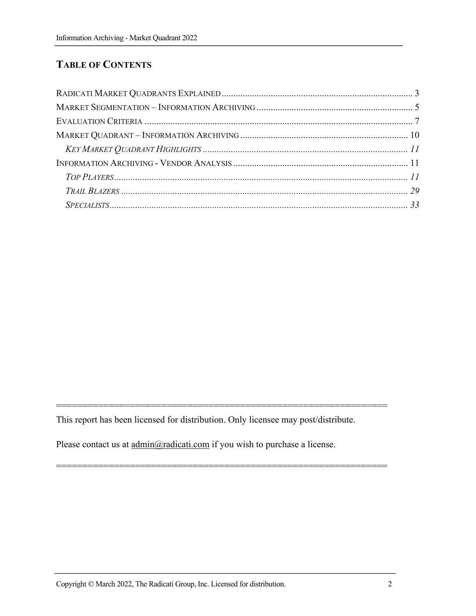# **TABLE OF CONTENTS**

This report has been licensed for distribution. Only licensee may post/distribute.

===============================================================

===============================================================

Please contact us at  $\underline{admin@radicati.com}$  if you wish to purchase a license.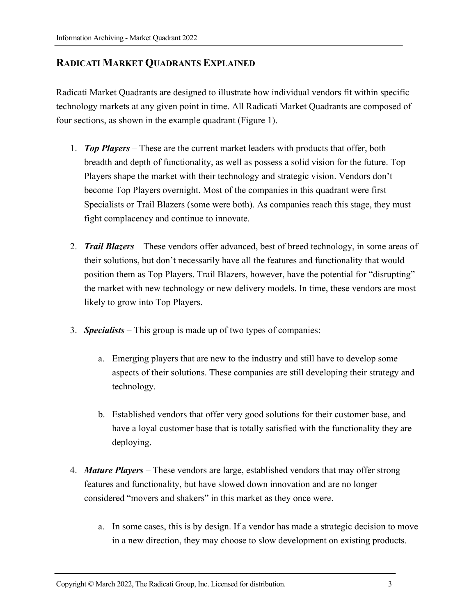# **RADICATI MARKET QUADRANTS EXPLAINED**

Radicati Market Quadrants are designed to illustrate how individual vendors fit within specific technology markets at any given point in time. All Radicati Market Quadrants are composed of four sections, as shown in the example quadrant (Figure 1).

- 1. *Top Players* These are the current market leaders with products that offer, both breadth and depth of functionality, as well as possess a solid vision for the future. Top Players shape the market with their technology and strategic vision. Vendors don't become Top Players overnight. Most of the companies in this quadrant were first Specialists or Trail Blazers (some were both). As companies reach this stage, they must fight complacency and continue to innovate.
- 2. *Trail Blazers* These vendors offer advanced, best of breed technology, in some areas of their solutions, but don't necessarily have all the features and functionality that would position them as Top Players. Trail Blazers, however, have the potential for "disrupting" the market with new technology or new delivery models. In time, these vendors are most likely to grow into Top Players.
- 3. *Specialists* This group is made up of two types of companies:
	- a. Emerging players that are new to the industry and still have to develop some aspects of their solutions. These companies are still developing their strategy and technology.
	- b. Established vendors that offer very good solutions for their customer base, and have a loyal customer base that is totally satisfied with the functionality they are deploying.
- 4. *Mature Players*  These vendors are large, established vendors that may offer strong features and functionality, but have slowed down innovation and are no longer considered "movers and shakers" in this market as they once were.
	- a. In some cases, this is by design. If a vendor has made a strategic decision to move in a new direction, they may choose to slow development on existing products.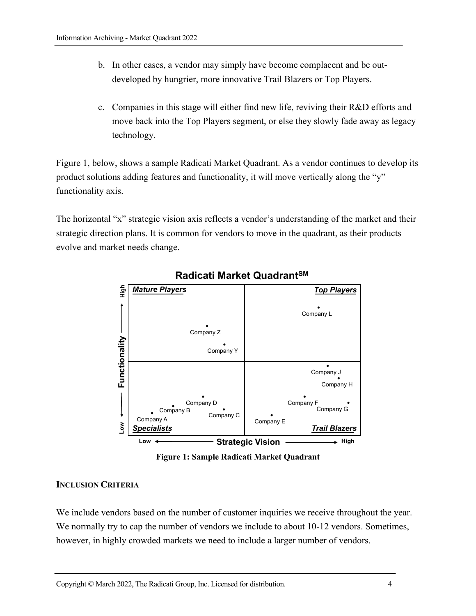- b. In other cases, a vendor may simply have become complacent and be outdeveloped by hungrier, more innovative Trail Blazers or Top Players.
- c. Companies in this stage will either find new life, reviving their R&D efforts and move back into the Top Players segment, or else they slowly fade away as legacy technology.

Figure 1, below, shows a sample Radicati Market Quadrant. As a vendor continues to develop its product solutions adding features and functionality, it will move vertically along the "y" functionality axis.

The horizontal "x" strategic vision axis reflects a vendor's understanding of the market and their strategic direction plans. It is common for vendors to move in the quadrant, as their products evolve and market needs change.



# **Radicati Market QuadrantSM**

**Figure 1: Sample Radicati Market Quadrant**

#### **INCLUSION CRITERIA**

We include vendors based on the number of customer inquiries we receive throughout the year. We normally try to cap the number of vendors we include to about 10-12 vendors. Sometimes, however, in highly crowded markets we need to include a larger number of vendors.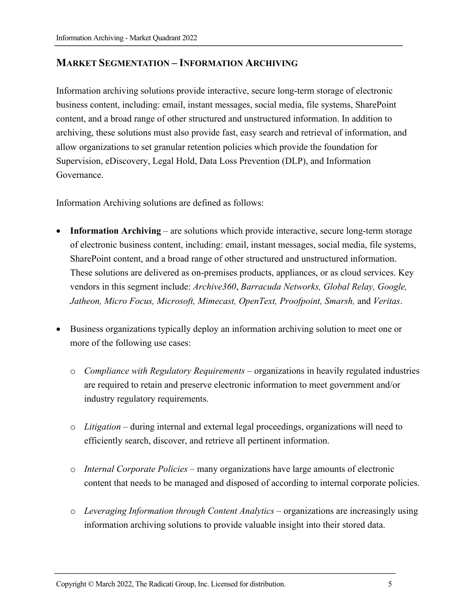#### **MARKET SEGMENTATION – INFORMATION ARCHIVING**

Information archiving solutions provide interactive, secure long-term storage of electronic business content, including: email, instant messages, social media, file systems, SharePoint content, and a broad range of other structured and unstructured information. In addition to archiving, these solutions must also provide fast, easy search and retrieval of information, and allow organizations to set granular retention policies which provide the foundation for Supervision, eDiscovery, Legal Hold, Data Loss Prevention (DLP), and Information Governance.

Information Archiving solutions are defined as follows:

- **Information Archiving** are solutions which provide interactive, secure long-term storage of electronic business content, including: email, instant messages, social media, file systems, SharePoint content, and a broad range of other structured and unstructured information. These solutions are delivered as on-premises products, appliances, or as cloud services. Key vendors in this segment include: *Archive360*, *Barracuda Networks, Global Relay, Google, Jatheon, Micro Focus, Microsoft, Mimecast, OpenText, Proofpoint, Smarsh,* and *Veritas*.
- Business organizations typically deploy an information archiving solution to meet one or more of the following use cases:
	- o *Compliance with Regulatory Requirements* organizations in heavily regulated industries are required to retain and preserve electronic information to meet government and/or industry regulatory requirements.
	- o *Litigation* during internal and external legal proceedings, organizations will need to efficiently search, discover, and retrieve all pertinent information.
	- o *Internal Corporate Policies* many organizations have large amounts of electronic content that needs to be managed and disposed of according to internal corporate policies.
	- o *Leveraging Information through Content Analytics*  organizations are increasingly using information archiving solutions to provide valuable insight into their stored data.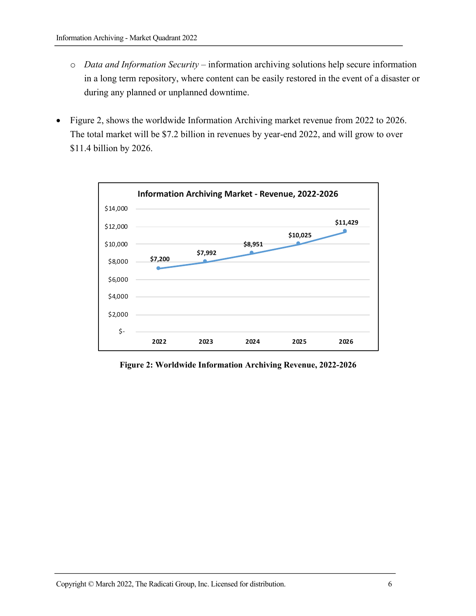- o *Data and Information Security*  information archiving solutions help secure information in a long term repository, where content can be easily restored in the event of a disaster or during any planned or unplanned downtime.
- Figure 2, shows the worldwide Information Archiving market revenue from 2022 to 2026. The total market will be \$7.2 billion in revenues by year-end 2022, and will grow to over \$11.4 billion by 2026.



**Figure 2: Worldwide Information Archiving Revenue, 2022-2026**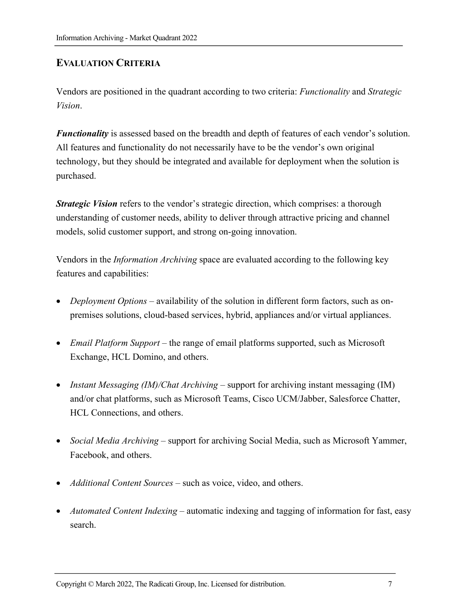# **EVALUATION CRITERIA**

Vendors are positioned in the quadrant according to two criteria: *Functionality* and *Strategic Vision*.

*Functionality* is assessed based on the breadth and depth of features of each vendor's solution. All features and functionality do not necessarily have to be the vendor's own original technology, but they should be integrated and available for deployment when the solution is purchased.

*Strategic Vision* refers to the vendor's strategic direction, which comprises: a thorough understanding of customer needs, ability to deliver through attractive pricing and channel models, solid customer support, and strong on-going innovation.

Vendors in the *Information Archiving* space are evaluated according to the following key features and capabilities:

- *Deployment Options* availability of the solution in different form factors, such as onpremises solutions, cloud-based services, hybrid, appliances and/or virtual appliances.
- *Email Platform Support* the range of email platforms supported, such as Microsoft Exchange, HCL Domino, and others.
- *Instant Messaging (IM)/Chat Archiving* support for archiving instant messaging (IM) and/or chat platforms, such as Microsoft Teams, Cisco UCM/Jabber, Salesforce Chatter, HCL Connections, and others.
- *Social Media Archiving* support for archiving Social Media, such as Microsoft Yammer, Facebook, and others.
- *Additional Content Sources* such as voice, video, and others.
- *Automated Content Indexing* automatic indexing and tagging of information for fast, easy search.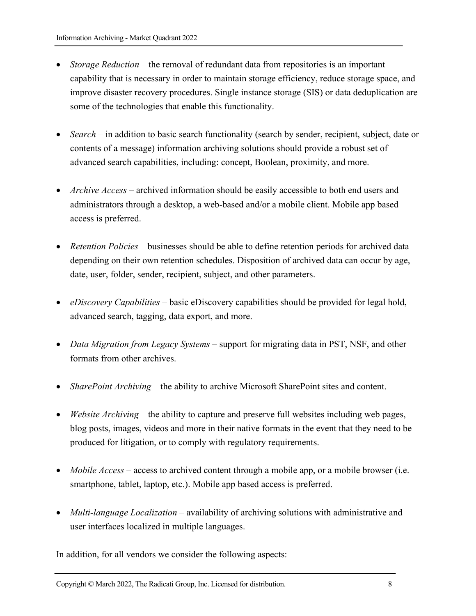- *Storage Reduction* the removal of redundant data from repositories is an important capability that is necessary in order to maintain storage efficiency, reduce storage space, and improve disaster recovery procedures. Single instance storage (SIS) or data deduplication are some of the technologies that enable this functionality.
- *Search* in addition to basic search functionality (search by sender, recipient, subject, date or contents of a message) information archiving solutions should provide a robust set of advanced search capabilities, including: concept, Boolean, proximity, and more.
- *Archive Access* archived information should be easily accessible to both end users and administrators through a desktop, a web-based and/or a mobile client. Mobile app based access is preferred.
- *Retention Policies* businesses should be able to define retention periods for archived data depending on their own retention schedules. Disposition of archived data can occur by age, date, user, folder, sender, recipient, subject, and other parameters.
- *eDiscovery Capabilities* basic eDiscovery capabilities should be provided for legal hold, advanced search, tagging, data export, and more.
- *Data Migration from Legacy Systems* support for migrating data in PST, NSF, and other formats from other archives.
- *SharePoint Archiving* the ability to archive Microsoft SharePoint sites and content.
- *Website Archiving* the ability to capture and preserve full websites including web pages, blog posts, images, videos and more in their native formats in the event that they need to be produced for litigation, or to comply with regulatory requirements.
- *Mobile Access* access to archived content through a mobile app, or a mobile browser (i.e. smartphone, tablet, laptop, etc.). Mobile app based access is preferred.
- *Multi-language Localization* availability of archiving solutions with administrative and user interfaces localized in multiple languages.

In addition, for all vendors we consider the following aspects: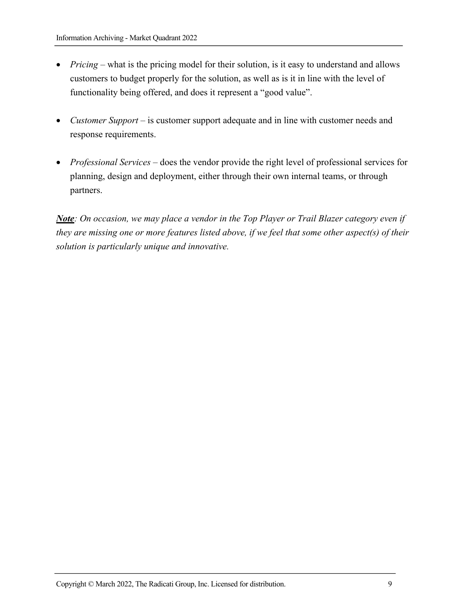- *Pricing* what is the pricing model for their solution, is it easy to understand and allows customers to budget properly for the solution, as well as is it in line with the level of functionality being offered, and does it represent a "good value".
- *Customer Support* is customer support adequate and in line with customer needs and response requirements.
- *Professional Services* does the vendor provide the right level of professional services for planning, design and deployment, either through their own internal teams, or through partners.

*Note: On occasion, we may place a vendor in the Top Player or Trail Blazer category even if they are missing one or more features listed above, if we feel that some other aspect(s) of their solution is particularly unique and innovative.*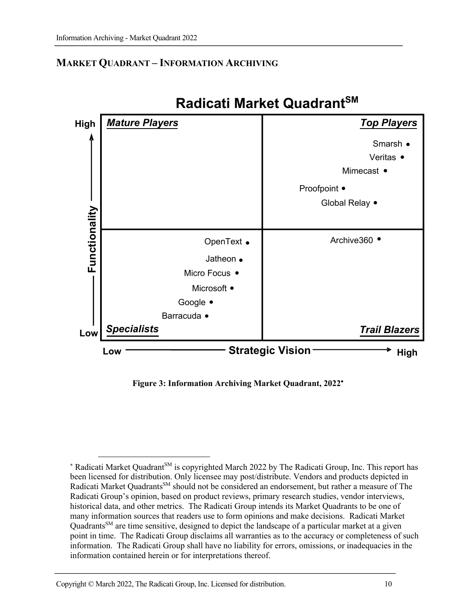## **MARKET QUADRANT – INFORMATION ARCHIVING**



# **Radicati Market QuadrantSM**

**Figure 3: Information Archiving Market Quadrant, 2022**\*

<sup>\*</sup> Radicati Market Quadrant<sup>SM</sup> is copyrighted March 2022 by The Radicati Group, Inc. This report has been licensed for distribution. Only licensee may post/distribute. Vendors and products depicted in Radicati Market Quadrants<sup>SM</sup> should not be considered an endorsement, but rather a measure of The Radicati Group's opinion, based on product reviews, primary research studies, vendor interviews, historical data, and other metrics. The Radicati Group intends its Market Quadrants to be one of many information sources that readers use to form opinions and make decisions. Radicati Market Quadrants<sup>SM</sup> are time sensitive, designed to depict the landscape of a particular market at a given point in time. The Radicati Group disclaims all warranties as to the accuracy or completeness of such information. The Radicati Group shall have no liability for errors, omissions, or inadequacies in the information contained herein or for interpretations thereof.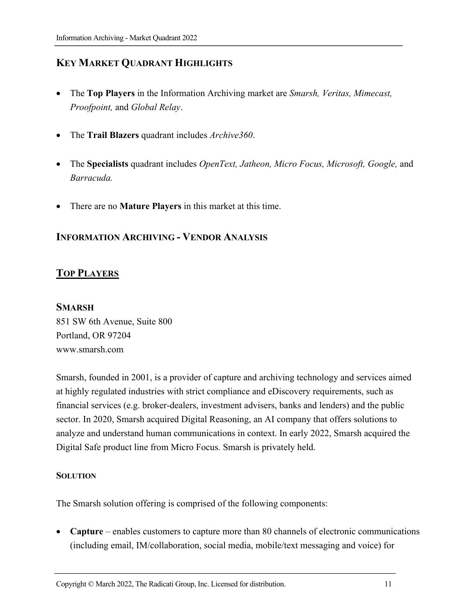# **KEY MARKET QUADRANT HIGHLIGHTS**

- The **Top Players** in the Information Archiving market are *Smarsh, Veritas, Mimecast, Proofpoint,* and *Global Relay*.
- The **Trail Blazers** quadrant includes *Archive360*.
- The **Specialists** quadrant includes *OpenText, Jatheon, Micro Focus, Microsoft, Google,* and *Barracuda.*
- There are no **Mature Players** in this market at this time.

#### **INFORMATION ARCHIVING - VENDOR ANALYSIS**

#### **TOP PLAYERS**

#### **SMARSH**

851 SW 6th Avenue, Suite 800 Portland, OR 97204 www.smarsh.com

Smarsh, founded in 2001, is a provider of capture and archiving technology and services aimed at highly regulated industries with strict compliance and eDiscovery requirements, such as financial services (e.g. broker-dealers, investment advisers, banks and lenders) and the public sector. In 2020, Smarsh acquired Digital Reasoning, an AI company that offers solutions to analyze and understand human communications in context. In early 2022, Smarsh acquired the Digital Safe product line from Micro Focus. Smarsh is privately held.

#### **SOLUTION**

The Smarsh solution offering is comprised of the following components:

• **Capture** – enables customers to capture more than 80 channels of electronic communications (including email, IM/collaboration, social media, mobile/text messaging and voice) for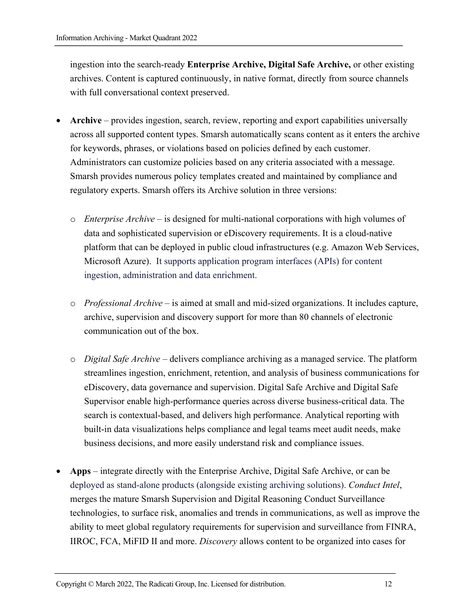ingestion into the search-ready **Enterprise Archive, Digital Safe Archive,** or other existing archives. Content is captured continuously, in native format, directly from source channels with full conversational context preserved.

- **Archive**  provides ingestion, search, review, reporting and export capabilities universally across all supported content types. Smarsh automatically scans content as it enters the archive for keywords, phrases, or violations based on policies defined by each customer. Administrators can customize policies based on any criteria associated with a message. Smarsh provides numerous policy templates created and maintained by compliance and regulatory experts. Smarsh offers its Archive solution in three versions:
	- o *Enterprise Archive* is designed for multi-national corporations with high volumes of data and sophisticated supervision or eDiscovery requirements. It is a cloud-native platform that can be deployed in public cloud infrastructures (e.g. Amazon Web Services, Microsoft Azure). It supports application program interfaces (APIs) for content ingestion, administration and data enrichment.
	- o *Professional Archive* is aimed at small and mid-sized organizations. It includes capture, archive, supervision and discovery support for more than 80 channels of electronic communication out of the box.
	- o *Digital Safe Archive* delivers compliance archiving as a managed service. The platform streamlines ingestion, enrichment, retention, and analysis of business communications for eDiscovery, data governance and supervision. Digital Safe Archive and Digital Safe Supervisor enable high-performance queries across diverse business-critical data. The search is contextual-based, and delivers high performance. Analytical reporting with built-in data visualizations helps compliance and legal teams meet audit needs, make business decisions, and more easily understand risk and compliance issues.
- **Apps**  integrate directly with the Enterprise Archive, Digital Safe Archive, or can be deployed as stand-alone products (alongside existing archiving solutions). *Conduct Intel*, merges the mature Smarsh Supervision and Digital Reasoning Conduct Surveillance technologies, to surface risk, anomalies and trends in communications, as well as improve the ability to meet global regulatory requirements for supervision and surveillance from FINRA, IIROC, FCA, MiFID II and more. *Discovery* allows content to be organized into cases for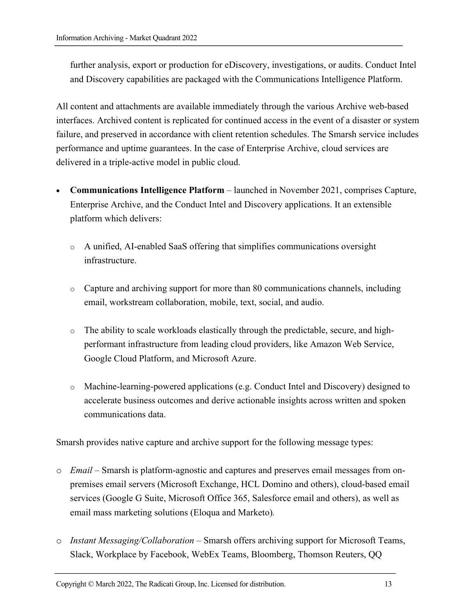further analysis, export or production for eDiscovery, investigations, or audits. Conduct Intel and Discovery capabilities are packaged with the Communications Intelligence Platform.

All content and attachments are available immediately through the various Archive web-based interfaces. Archived content is replicated for continued access in the event of a disaster or system failure, and preserved in accordance with client retention schedules. The Smarsh service includes performance and uptime guarantees. In the case of Enterprise Archive, cloud services are delivered in a triple-active model in public cloud.

- **Communications Intelligence Platform** launched in November 2021, comprises Capture, Enterprise Archive, and the Conduct Intel and Discovery applications. It an extensible platform which delivers:
	- o A unified, AI-enabled SaaS offering that simplifies communications oversight infrastructure.
	- o Capture and archiving support for more than 80 communications channels, including email, workstream collaboration, mobile, text, social, and audio.
	- o The ability to scale workloads elastically through the predictable, secure, and highperformant infrastructure from leading cloud providers, like Amazon Web Service, Google Cloud Platform, and Microsoft Azure.
	- o Machine-learning-powered applications (e.g. Conduct Intel and Discovery) designed to accelerate business outcomes and derive actionable insights across written and spoken communications data.

Smarsh provides native capture and archive support for the following message types:

- o *Email* Smarsh is platform-agnostic and captures and preserves email messages from onpremises email servers (Microsoft Exchange, HCL Domino and others), cloud-based email services (Google G Suite, Microsoft Office 365, Salesforce email and others), as well as email mass marketing solutions (Eloqua and Marketo)*.*
- o *Instant Messaging/Collaboration* Smarsh offers archiving support for Microsoft Teams, Slack, Workplace by Facebook, WebEx Teams, Bloomberg, Thomson Reuters, QQ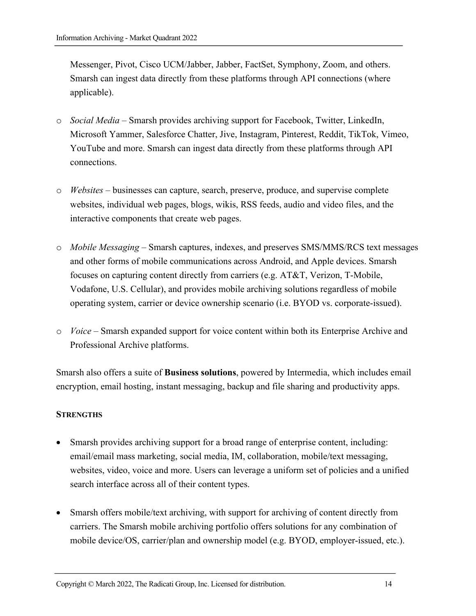Messenger, Pivot, Cisco UCM/Jabber, Jabber, FactSet, Symphony, Zoom, and others. Smarsh can ingest data directly from these platforms through API connections (where applicable).

- o *Social Media* Smarsh provides archiving support for Facebook, Twitter, LinkedIn, Microsoft Yammer, Salesforce Chatter, Jive, Instagram, Pinterest, Reddit, TikTok, Vimeo, YouTube and more. Smarsh can ingest data directly from these platforms through API connections.
- o *Websites* businesses can capture, search, preserve, produce, and supervise complete websites, individual web pages, blogs, wikis, RSS feeds, audio and video files, and the interactive components that create web pages.
- o *Mobile Messaging* Smarsh captures, indexes, and preserves SMS/MMS/RCS text messages and other forms of mobile communications across Android, and Apple devices. Smarsh focuses on capturing content directly from carriers (e.g. AT&T, Verizon, T-Mobile, Vodafone, U.S. Cellular), and provides mobile archiving solutions regardless of mobile operating system, carrier or device ownership scenario (i.e. BYOD vs. corporate-issued).
- o *Voice* Smarsh expanded support for voice content within both its Enterprise Archive and Professional Archive platforms.

Smarsh also offers a suite of **Business solutions**, powered by Intermedia, which includes email encryption, email hosting, instant messaging, backup and file sharing and productivity apps.

#### **STRENGTHS**

- Smarsh provides archiving support for a broad range of enterprise content, including: email/email mass marketing, social media, IM, collaboration, mobile/text messaging, websites, video, voice and more. Users can leverage a uniform set of policies and a unified search interface across all of their content types.
- Smarsh offers mobile/text archiving, with support for archiving of content directly from carriers. The Smarsh mobile archiving portfolio offers solutions for any combination of mobile device/OS, carrier/plan and ownership model (e.g. BYOD, employer-issued, etc.).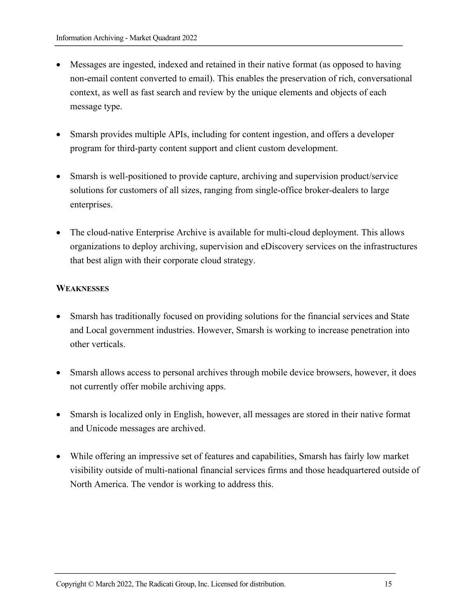- Messages are ingested, indexed and retained in their native format (as opposed to having non-email content converted to email). This enables the preservation of rich, conversational context, as well as fast search and review by the unique elements and objects of each message type.
- Smarsh provides multiple APIs, including for content ingestion, and offers a developer program for third-party content support and client custom development.
- Smarsh is well-positioned to provide capture, archiving and supervision product/service solutions for customers of all sizes, ranging from single-office broker-dealers to large enterprises.
- The cloud-native Enterprise Archive is available for multi-cloud deployment. This allows organizations to deploy archiving, supervision and eDiscovery services on the infrastructures that best align with their corporate cloud strategy.

#### **WEAKNESSES**

- Smarsh has traditionally focused on providing solutions for the financial services and State and Local government industries. However, Smarsh is working to increase penetration into other verticals.
- Smarsh allows access to personal archives through mobile device browsers, however, it does not currently offer mobile archiving apps.
- Smarsh is localized only in English, however, all messages are stored in their native format and Unicode messages are archived.
- While offering an impressive set of features and capabilities, Smarsh has fairly low market visibility outside of multi-national financial services firms and those headquartered outside of North America. The vendor is working to address this.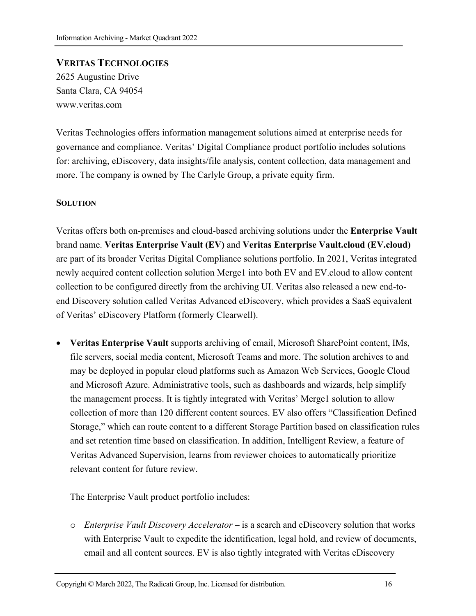# **VERITAS TECHNOLOGIES**  2625 Augustine Drive Santa Clara, CA 94054 www.veritas.com

Veritas Technologies offers information management solutions aimed at enterprise needs for governance and compliance. Veritas' Digital Compliance product portfolio includes solutions for: archiving, eDiscovery, data insights/file analysis, content collection, data management and more. The company is owned by The Carlyle Group, a private equity firm.

#### **SOLUTION**

Veritas offers both on-premises and cloud-based archiving solutions under the **Enterprise Vault** brand name. **Veritas Enterprise Vault (EV)** and **Veritas Enterprise Vault.cloud (EV.cloud)** are part of its broader Veritas Digital Compliance solutions portfolio. In 2021, Veritas integrated newly acquired content collection solution Merge1 into both EV and EV.cloud to allow content collection to be configured directly from the archiving UI. Veritas also released a new end-toend Discovery solution called Veritas Advanced eDiscovery, which provides a SaaS equivalent of Veritas' eDiscovery Platform (formerly Clearwell).

• **Veritas Enterprise Vault** supports archiving of email, Microsoft SharePoint content, IMs, file servers, social media content, Microsoft Teams and more. The solution archives to and may be deployed in popular cloud platforms such as Amazon Web Services, Google Cloud and Microsoft Azure. Administrative tools, such as dashboards and wizards, help simplify the management process. It is tightly integrated with Veritas' Merge1 solution to allow collection of more than 120 different content sources. EV also offers "Classification Defined Storage," which can route content to a different Storage Partition based on classification rules and set retention time based on classification. In addition, Intelligent Review, a feature of Veritas Advanced Supervision, learns from reviewer choices to automatically prioritize relevant content for future review.

The Enterprise Vault product portfolio includes:

o *Enterprise Vault Discovery Accelerator* **–** is a search and eDiscovery solution that works with Enterprise Vault to expedite the identification, legal hold, and review of documents, email and all content sources. EV is also tightly integrated with Veritas eDiscovery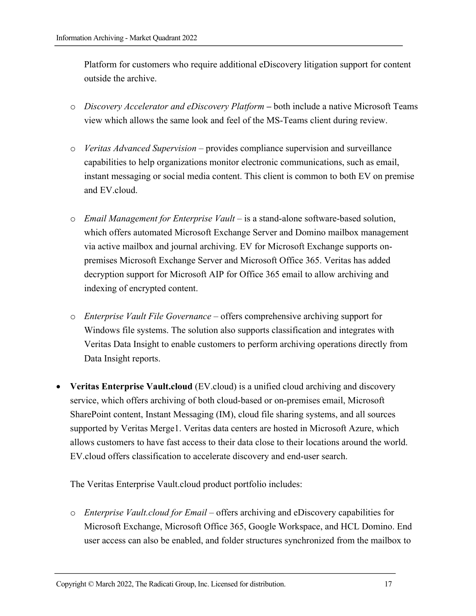Platform for customers who require additional eDiscovery litigation support for content outside the archive.

- o *Discovery Accelerator and eDiscovery Platform* **–** both include a native Microsoft Teams view which allows the same look and feel of the MS-Teams client during review.
- o *Veritas Advanced Supervision*  provides compliance supervision and surveillance capabilities to help organizations monitor electronic communications, such as email, instant messaging or social media content. This client is common to both EV on premise and EV.cloud.
- o *Email Management for Enterprise Vault* is a stand-alone software-based solution, which offers automated Microsoft Exchange Server and Domino mailbox management via active mailbox and journal archiving. EV for Microsoft Exchange supports onpremises Microsoft Exchange Server and Microsoft Office 365. Veritas has added decryption support for Microsoft AIP for Office 365 email to allow archiving and indexing of encrypted content.
- o *Enterprise Vault File Governance* offers comprehensive archiving support for Windows file systems. The solution also supports classification and integrates with Veritas Data Insight to enable customers to perform archiving operations directly from Data Insight reports.
- **Veritas Enterprise Vault.cloud** (EV.cloud) is a unified cloud archiving and discovery service, which offers archiving of both cloud-based or on-premises email, Microsoft SharePoint content, Instant Messaging (IM), cloud file sharing systems, and all sources supported by Veritas Merge1. Veritas data centers are hosted in Microsoft Azure, which allows customers to have fast access to their data close to their locations around the world. EV.cloud offers classification to accelerate discovery and end-user search.

The Veritas Enterprise Vault.cloud product portfolio includes:

o *Enterprise Vault.cloud for Email* – offers archiving and eDiscovery capabilities for Microsoft Exchange, Microsoft Office 365, Google Workspace, and HCL Domino. End user access can also be enabled, and folder structures synchronized from the mailbox to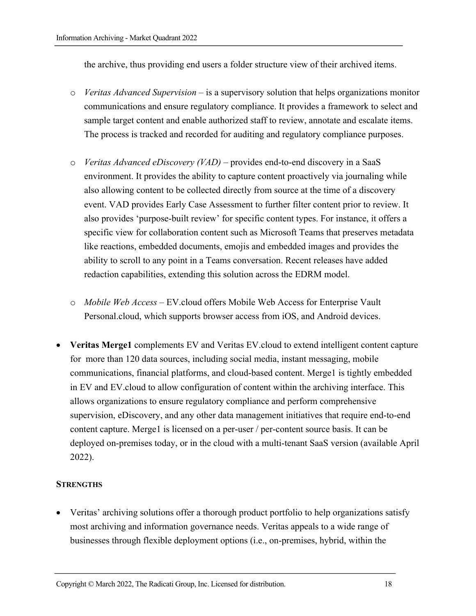the archive, thus providing end users a folder structure view of their archived items.

- o *Veritas Advanced Supervision* is a supervisory solution that helps organizations monitor communications and ensure regulatory compliance. It provides a framework to select and sample target content and enable authorized staff to review, annotate and escalate items. The process is tracked and recorded for auditing and regulatory compliance purposes.
- o *Veritas Advanced eDiscovery (VAD)*  provides end-to-end discovery in a SaaS environment. It provides the ability to capture content proactively via journaling while also allowing content to be collected directly from source at the time of a discovery event. VAD provides Early Case Assessment to further filter content prior to review. It also provides 'purpose-built review' for specific content types. For instance, it offers a specific view for collaboration content such as Microsoft Teams that preserves metadata like reactions, embedded documents, emojis and embedded images and provides the ability to scroll to any point in a Teams conversation. Recent releases have added redaction capabilities, extending this solution across the EDRM model.
- o *Mobile Web Access*  EV.cloud offers Mobile Web Access for Enterprise Vault Personal.cloud, which supports browser access from iOS, and Android devices.
- **Veritas Merge1** complements EV and Veritas EV.cloud to extend intelligent content capture for more than 120 data sources, including social media, instant messaging, mobile communications, financial platforms, and cloud-based content. Merge1 is tightly embedded in EV and EV.cloud to allow configuration of content within the archiving interface. This allows organizations to ensure regulatory compliance and perform comprehensive supervision, eDiscovery, and any other data management initiatives that require end-to-end content capture. Merge1 is licensed on a per-user / per-content source basis. It can be deployed on-premises today, or in the cloud with a multi-tenant SaaS version (available April 2022).

#### **STRENGTHS**

• Veritas' archiving solutions offer a thorough product portfolio to help organizations satisfy most archiving and information governance needs. Veritas appeals to a wide range of businesses through flexible deployment options (i.e., on-premises, hybrid, within the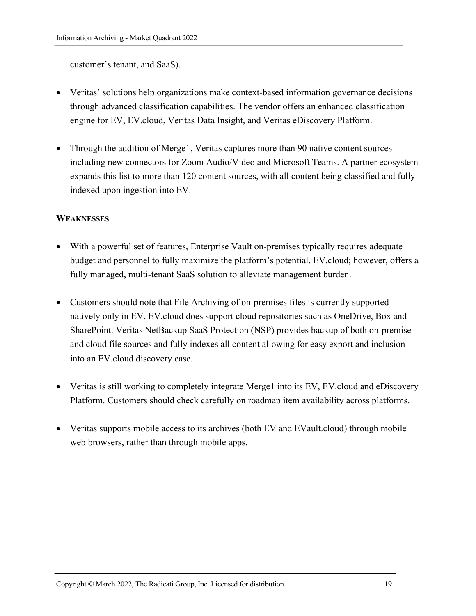customer's tenant, and SaaS).

- Veritas' solutions help organizations make context-based information governance decisions through advanced classification capabilities. The vendor offers an enhanced classification engine for EV, EV.cloud, Veritas Data Insight, and Veritas eDiscovery Platform.
- Through the addition of Merge1, Veritas captures more than 90 native content sources including new connectors for Zoom Audio/Video and Microsoft Teams. A partner ecosystem expands this list to more than 120 content sources, with all content being classified and fully indexed upon ingestion into EV.

#### **WEAKNESSES**

- With a powerful set of features, Enterprise Vault on-premises typically requires adequate budget and personnel to fully maximize the platform's potential. EV.cloud; however, offers a fully managed, multi-tenant SaaS solution to alleviate management burden.
- Customers should note that File Archiving of on-premises files is currently supported natively only in EV. EV.cloud does support cloud repositories such as OneDrive, Box and SharePoint. Veritas NetBackup SaaS Protection (NSP) provides backup of both on-premise and cloud file sources and fully indexes all content allowing for easy export and inclusion into an EV.cloud discovery case.
- Veritas is still working to completely integrate Merge1 into its EV, EV cloud and eDiscovery Platform. Customers should check carefully on roadmap item availability across platforms.
- Veritas supports mobile access to its archives (both EV and EV ault.cloud) through mobile web browsers, rather than through mobile apps.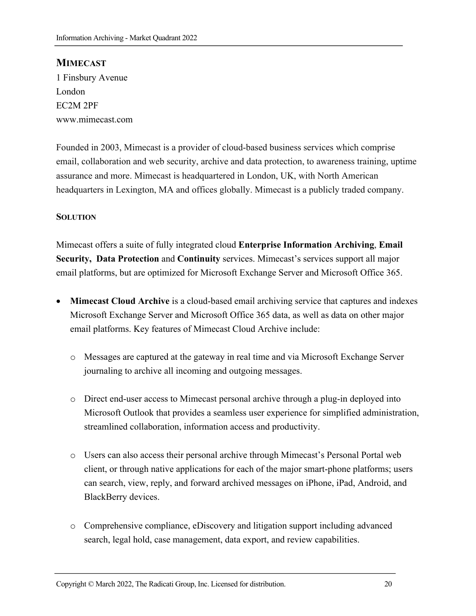#### **MIMECAST**

1 Finsbury Avenue London EC2M 2PF www.mimecast.com

Founded in 2003, Mimecast is a provider of cloud-based business services which comprise email, collaboration and web security, archive and data protection, to awareness training, uptime assurance and more. Mimecast is headquartered in London, UK, with North American headquarters in Lexington, MA and offices globally. Mimecast is a publicly traded company.

#### **SOLUTION**

Mimecast offers a suite of fully integrated cloud **Enterprise Information Archiving**, **Email Security, Data Protection** and **Continuity** services. Mimecast's services support all major email platforms, but are optimized for Microsoft Exchange Server and Microsoft Office 365.

- **Mimecast Cloud Archive** is a cloud-based email archiving service that captures and indexes Microsoft Exchange Server and Microsoft Office 365 data, as well as data on other major email platforms. Key features of Mimecast Cloud Archive include:
	- o Messages are captured at the gateway in real time and via Microsoft Exchange Server journaling to archive all incoming and outgoing messages.
	- o Direct end-user access to Mimecast personal archive through a plug-in deployed into Microsoft Outlook that provides a seamless user experience for simplified administration, streamlined collaboration, information access and productivity.
	- o Users can also access their personal archive through Mimecast's Personal Portal web client, or through native applications for each of the major smart-phone platforms; users can search, view, reply, and forward archived messages on iPhone, iPad, Android, and BlackBerry devices.
	- o Comprehensive compliance, eDiscovery and litigation support including advanced search, legal hold, case management, data export, and review capabilities.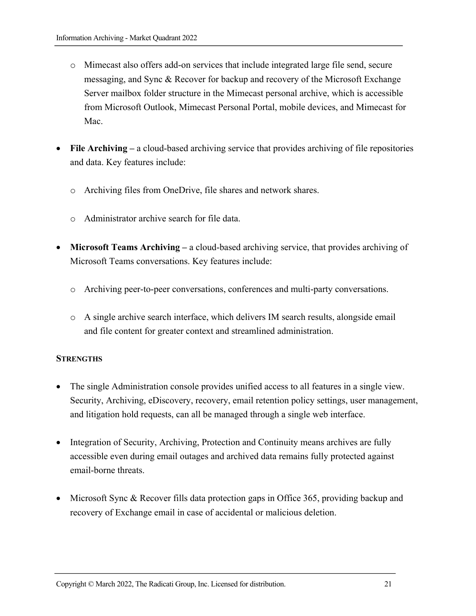- o Mimecast also offers add-on services that include integrated large file send, secure messaging, and Sync & Recover for backup and recovery of the Microsoft Exchange Server mailbox folder structure in the Mimecast personal archive, which is accessible from Microsoft Outlook, Mimecast Personal Portal, mobile devices, and Mimecast for Mac.
- **File Archiving –** a cloud-based archiving service that provides archiving of file repositories and data. Key features include:
	- o Archiving files from OneDrive, file shares and network shares.
	- o Administrator archive search for file data.
- **Microsoft Teams Archiving –** a cloud-based archiving service, that provides archiving of Microsoft Teams conversations. Key features include:
	- o Archiving peer-to-peer conversations, conferences and multi-party conversations.
	- o A single archive search interface, which delivers IM search results, alongside email and file content for greater context and streamlined administration.

#### **STRENGTHS**

- The single Administration console provides unified access to all features in a single view. Security, Archiving, eDiscovery, recovery, email retention policy settings, user management, and litigation hold requests, can all be managed through a single web interface.
- Integration of Security, Archiving, Protection and Continuity means archives are fully accessible even during email outages and archived data remains fully protected against email-borne threats.
- Microsoft Sync & Recover fills data protection gaps in Office 365, providing backup and recovery of Exchange email in case of accidental or malicious deletion.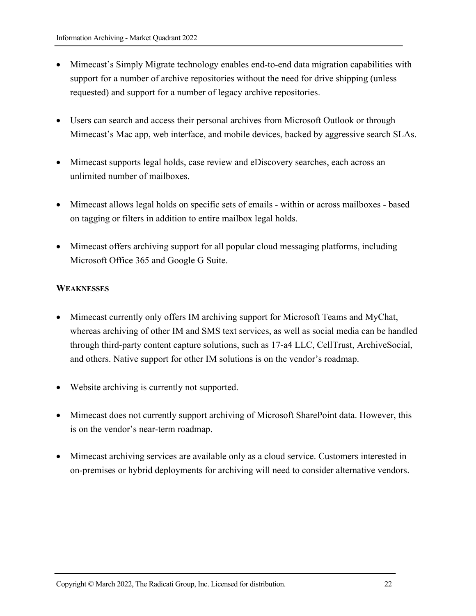- Mimecast's Simply Migrate technology enables end-to-end data migration capabilities with support for a number of archive repositories without the need for drive shipping (unless requested) and support for a number of legacy archive repositories.
- Users can search and access their personal archives from Microsoft Outlook or through Mimecast's Mac app, web interface, and mobile devices, backed by aggressive search SLAs.
- Mimecast supports legal holds, case review and eDiscovery searches, each across an unlimited number of mailboxes.
- Mimecast allows legal holds on specific sets of emails within or across mailboxes based on tagging or filters in addition to entire mailbox legal holds.
- Mimecast offers archiving support for all popular cloud messaging platforms, including Microsoft Office 365 and Google G Suite.

#### **WEAKNESSES**

- Mimecast currently only offers IM archiving support for Microsoft Teams and MyChat, whereas archiving of other IM and SMS text services, as well as social media can be handled through third-party content capture solutions, such as 17-a4 LLC, CellTrust, ArchiveSocial, and others. Native support for other IM solutions is on the vendor's roadmap.
- Website archiving is currently not supported.
- Mimecast does not currently support archiving of Microsoft SharePoint data. However, this is on the vendor's near-term roadmap.
- Mimecast archiving services are available only as a cloud service. Customers interested in on-premises or hybrid deployments for archiving will need to consider alternative vendors.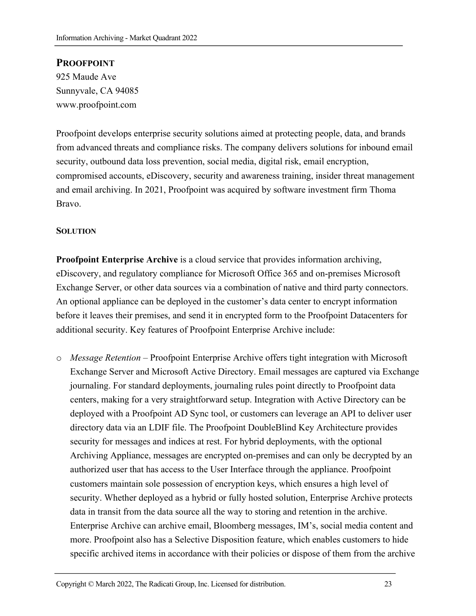#### **PROOFPOINT**

925 Maude Ave Sunnyvale, CA 94085 www.proofpoint.com

Proofpoint develops enterprise security solutions aimed at protecting people, data, and brands from advanced threats and compliance risks. The company delivers solutions for inbound email security, outbound data loss prevention, social media, digital risk, email encryption, compromised accounts, eDiscovery, security and awareness training, insider threat management and email archiving. In 2021, Proofpoint was acquired by software investment firm Thoma Bravo.

#### **SOLUTION**

**Proofpoint Enterprise Archive** is a cloud service that provides information archiving, eDiscovery, and regulatory compliance for Microsoft Office 365 and on-premises Microsoft Exchange Server, or other data sources via a combination of native and third party connectors. An optional appliance can be deployed in the customer's data center to encrypt information before it leaves their premises, and send it in encrypted form to the Proofpoint Datacenters for additional security. Key features of Proofpoint Enterprise Archive include:

o *Message Retention* – Proofpoint Enterprise Archive offers tight integration with Microsoft Exchange Server and Microsoft Active Directory. Email messages are captured via Exchange journaling. For standard deployments, journaling rules point directly to Proofpoint data centers, making for a very straightforward setup. Integration with Active Directory can be deployed with a Proofpoint AD Sync tool, or customers can leverage an API to deliver user directory data via an LDIF file. The Proofpoint DoubleBlind Key Architecture provides security for messages and indices at rest. For hybrid deployments, with the optional Archiving Appliance, messages are encrypted on-premises and can only be decrypted by an authorized user that has access to the User Interface through the appliance. Proofpoint customers maintain sole possession of encryption keys, which ensures a high level of security. Whether deployed as a hybrid or fully hosted solution, Enterprise Archive protects data in transit from the data source all the way to storing and retention in the archive. Enterprise Archive can archive email, Bloomberg messages, IM's, social media content and more. Proofpoint also has a Selective Disposition feature, which enables customers to hide specific archived items in accordance with their policies or dispose of them from the archive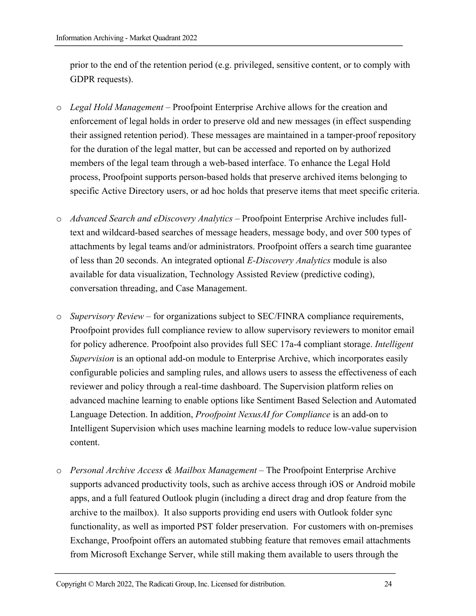prior to the end of the retention period (e.g. privileged, sensitive content, or to comply with GDPR requests).

- o *Legal Hold Management* Proofpoint Enterprise Archive allows for the creation and enforcement of legal holds in order to preserve old and new messages (in effect suspending their assigned retention period). These messages are maintained in a tamper-proof repository for the duration of the legal matter, but can be accessed and reported on by authorized members of the legal team through a web-based interface. To enhance the Legal Hold process, Proofpoint supports person-based holds that preserve archived items belonging to specific Active Directory users, or ad hoc holds that preserve items that meet specific criteria.
- o *Advanced Search and eDiscovery Analytics* Proofpoint Enterprise Archive includes fulltext and wildcard-based searches of message headers, message body, and over 500 types of attachments by legal teams and/or administrators. Proofpoint offers a search time guarantee of less than 20 seconds. An integrated optional *E-Discovery Analytics* module is also available for data visualization, Technology Assisted Review (predictive coding), conversation threading, and Case Management.
- o *Supervisory Review* for organizations subject to SEC/FINRA compliance requirements, Proofpoint provides full compliance review to allow supervisory reviewers to monitor email for policy adherence. Proofpoint also provides full SEC 17a-4 compliant storage. *Intelligent Supervision* is an optional add-on module to Enterprise Archive, which incorporates easily configurable policies and sampling rules, and allows users to assess the effectiveness of each reviewer and policy through a real-time dashboard. The Supervision platform relies on advanced machine learning to enable options like Sentiment Based Selection and Automated Language Detection. In addition, *Proofpoint NexusAI for Compliance* is an add-on to Intelligent Supervision which uses machine learning models to reduce low-value supervision content.
- o *Personal Archive Access & Mailbox Management* The Proofpoint Enterprise Archive supports advanced productivity tools, such as archive access through iOS or Android mobile apps, and a full featured Outlook plugin (including a direct drag and drop feature from the archive to the mailbox). It also supports providing end users with Outlook folder sync functionality, as well as imported PST folder preservation. For customers with on-premises Exchange, Proofpoint offers an automated stubbing feature that removes email attachments from Microsoft Exchange Server, while still making them available to users through the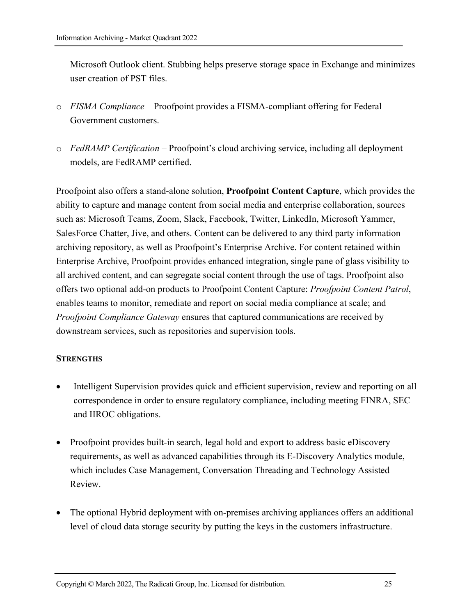Microsoft Outlook client. Stubbing helps preserve storage space in Exchange and minimizes user creation of PST files.

- o *FISMA Compliance* Proofpoint provides a FISMA-compliant offering for Federal Government customers.
- o *FedRAMP Certification* Proofpoint's cloud archiving service, including all deployment models, are FedRAMP certified.

Proofpoint also offers a stand-alone solution, **Proofpoint Content Capture**, which provides the ability to capture and manage content from social media and enterprise collaboration, sources such as: Microsoft Teams, Zoom, Slack, Facebook, Twitter, LinkedIn, Microsoft Yammer, SalesForce Chatter, Jive, and others. Content can be delivered to any third party information archiving repository, as well as Proofpoint's Enterprise Archive. For content retained within Enterprise Archive, Proofpoint provides enhanced integration, single pane of glass visibility to all archived content, and can segregate social content through the use of tags. Proofpoint also offers two optional add-on products to Proofpoint Content Capture: *Proofpoint Content Patrol*, enables teams to monitor, remediate and report on social media compliance at scale; and *Proofpoint Compliance Gateway* ensures that captured communications are received by downstream services, such as repositories and supervision tools.

#### **STRENGTHS**

- Intelligent Supervision provides quick and efficient supervision, review and reporting on all correspondence in order to ensure regulatory compliance, including meeting FINRA, SEC and IIROC obligations.
- Proofpoint provides built-in search, legal hold and export to address basic eDiscovery requirements, as well as advanced capabilities through its E-Discovery Analytics module, which includes Case Management, Conversation Threading and Technology Assisted Review.
- The optional Hybrid deployment with on-premises archiving appliances offers an additional level of cloud data storage security by putting the keys in the customers infrastructure.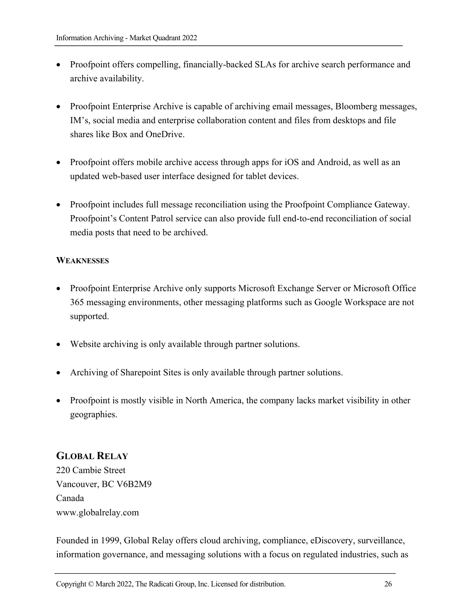- Proofpoint offers compelling, financially-backed SLAs for archive search performance and archive availability.
- Proofpoint Enterprise Archive is capable of archiving email messages, Bloomberg messages, IM's, social media and enterprise collaboration content and files from desktops and file shares like Box and OneDrive.
- Proofpoint offers mobile archive access through apps for iOS and Android, as well as an updated web-based user interface designed for tablet devices.
- Proofpoint includes full message reconciliation using the Proofpoint Compliance Gateway. Proofpoint's Content Patrol service can also provide full end-to-end reconciliation of social media posts that need to be archived.

#### **WEAKNESSES**

- Proofpoint Enterprise Archive only supports Microsoft Exchange Server or Microsoft Office 365 messaging environments, other messaging platforms such as Google Workspace are not supported.
- Website archiving is only available through partner solutions.
- Archiving of Sharepoint Sites is only available through partner solutions.
- Proofpoint is mostly visible in North America, the company lacks market visibility in other geographies.

# **GLOBAL RELAY**

220 Cambie Street Vancouver, BC V6B2M9 Canada www.globalrelay.com

Founded in 1999, Global Relay offers cloud archiving, compliance, eDiscovery, surveillance, information governance, and messaging solutions with a focus on regulated industries, such as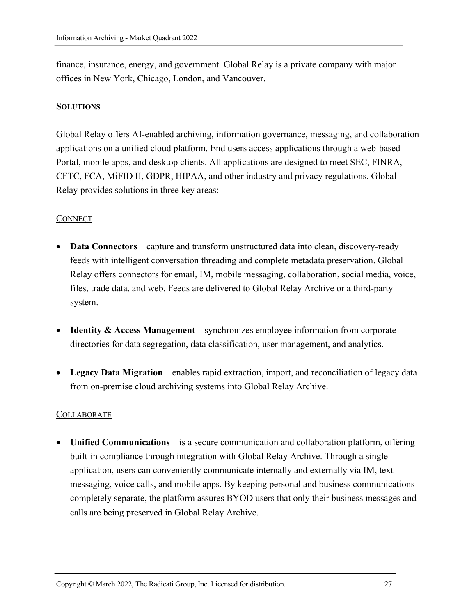finance, insurance, energy, and government. Global Relay is a private company with major offices in New York, Chicago, London, and Vancouver.

#### **SOLUTIONS**

Global Relay offers AI-enabled archiving, information governance, messaging, and collaboration applications on a unified cloud platform. End users access applications through a web-based Portal, mobile apps, and desktop clients. All applications are designed to meet SEC, FINRA, CFTC, FCA, MiFID II, GDPR, HIPAA, and other industry and privacy regulations. Global Relay provides solutions in three key areas:

#### **CONNECT**

- **Data Connectors** capture and transform unstructured data into clean, discovery-ready feeds with intelligent conversation threading and complete metadata preservation. Global Relay offers connectors for email, IM, mobile messaging, collaboration, social media, voice, files, trade data, and web. Feeds are delivered to Global Relay Archive or a third-party system.
- **Identity & Access Management** synchronizes employee information from corporate directories for data segregation, data classification, user management, and analytics.
- **Legacy Data Migration** enables rapid extraction, import, and reconciliation of legacy data from on-premise cloud archiving systems into Global Relay Archive.

#### **COLLABORATE**

• **Unified Communications** – is a secure communication and collaboration platform, offering built-in compliance through integration with Global Relay Archive. Through a single application, users can conveniently communicate internally and externally via IM, text messaging, voice calls, and mobile apps. By keeping personal and business communications completely separate, the platform assures BYOD users that only their business messages and calls are being preserved in Global Relay Archive.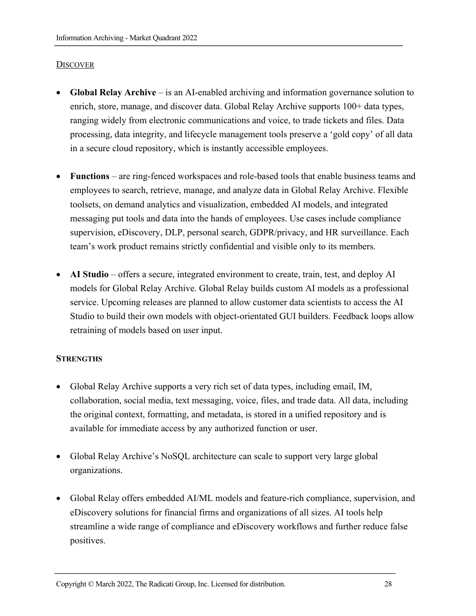#### **DISCOVER**

- **Global Relay Archive** is an AI-enabled archiving and information governance solution to enrich, store, manage, and discover data. Global Relay Archive supports 100+ data types, ranging widely from electronic communications and voice, to trade tickets and files. Data processing, data integrity, and lifecycle management tools preserve a 'gold copy' of all data in a secure cloud repository, which is instantly accessible employees.
- **Functions** are ring-fenced workspaces and role-based tools that enable business teams and employees to search, retrieve, manage, and analyze data in Global Relay Archive. Flexible toolsets, on demand analytics and visualization, embedded AI models, and integrated messaging put tools and data into the hands of employees. Use cases include compliance supervision, eDiscovery, DLP, personal search, GDPR/privacy, and HR surveillance. Each team's work product remains strictly confidential and visible only to its members.
- **AI Studio** offers a secure, integrated environment to create, train, test, and deploy AI models for Global Relay Archive. Global Relay builds custom AI models as a professional service. Upcoming releases are planned to allow customer data scientists to access the AI Studio to build their own models with object-orientated GUI builders. Feedback loops allow retraining of models based on user input.

#### **STRENGTHS**

- Global Relay Archive supports a very rich set of data types, including email, IM, collaboration, social media, text messaging, voice, files, and trade data. All data, including the original context, formatting, and metadata, is stored in a unified repository and is available for immediate access by any authorized function or user.
- Global Relay Archive's NoSQL architecture can scale to support very large global organizations.
- Global Relay offers embedded AI/ML models and feature-rich compliance, supervision, and eDiscovery solutions for financial firms and organizations of all sizes. AI tools help streamline a wide range of compliance and eDiscovery workflows and further reduce false positives.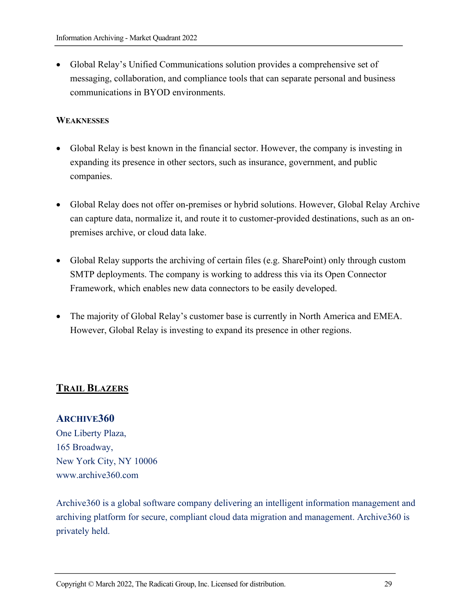• Global Relay's Unified Communications solution provides a comprehensive set of messaging, collaboration, and compliance tools that can separate personal and business communications in BYOD environments.

#### **WEAKNESSES**

- Global Relay is best known in the financial sector. However, the company is investing in expanding its presence in other sectors, such as insurance, government, and public companies.
- Global Relay does not offer on-premises or hybrid solutions. However, Global Relay Archive can capture data, normalize it, and route it to customer-provided destinations, such as an onpremises archive, or cloud data lake.
- Global Relay supports the archiving of certain files (e.g. SharePoint) only through custom SMTP deployments. The company is working to address this via its Open Connector Framework, which enables new data connectors to be easily developed.
- The majority of Global Relay's customer base is currently in North America and EMEA. However, Global Relay is investing to expand its presence in other regions.

# **TRAIL BLAZERS**

#### **ARCHIVE360**

One Liberty Plaza, 165 Broadway, New York City, NY 10006 www.archive360.com

Archive360 is a global software company delivering an intelligent information management and archiving platform for secure, compliant cloud data migration and management. Archive360 is privately held.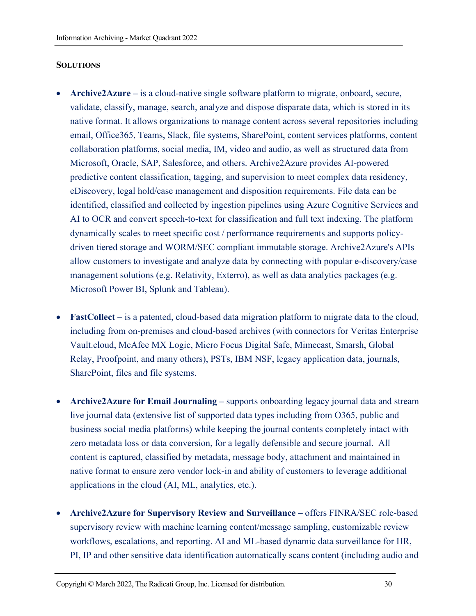#### **SOLUTIONS**

- **Archive2Azure –** is a cloud-native single software platform to migrate, onboard, secure, validate, classify, manage, search, analyze and dispose disparate data, which is stored in its native format. It allows organizations to manage content across several repositories including email, Office365, Teams, Slack, file systems, SharePoint, content services platforms, content collaboration platforms, social media, IM, video and audio, as well as structured data from Microsoft, Oracle, SAP, Salesforce, and others. Archive2Azure provides AI-powered predictive content classification, tagging, and supervision to meet complex data residency, eDiscovery, legal hold/case management and disposition requirements. File data can be identified, classified and collected by ingestion pipelines using Azure Cognitive Services and AI to OCR and convert speech-to-text for classification and full text indexing. The platform dynamically scales to meet specific cost / performance requirements and supports policydriven tiered storage and WORM/SEC compliant immutable storage. Archive2Azure's APIs allow customers to investigate and analyze data by connecting with popular e-discovery/case management solutions (e.g. Relativity, Exterro), as well as data analytics packages (e.g. Microsoft Power BI, Splunk and Tableau).
- **FastCollect –** is a patented, cloud-based data migration platform to migrate data to the cloud, including from on-premises and cloud-based archives (with connectors for Veritas Enterprise Vault.cloud, McAfee MX Logic, Micro Focus Digital Safe, Mimecast, Smarsh, Global Relay, Proofpoint, and many others), PSTs, IBM NSF, legacy application data, journals, SharePoint, files and file systems.
- **Archive2Azure for Email Journaling –** supports onboarding legacy journal data and stream live journal data (extensive list of supported data types including from O365, public and business social media platforms) while keeping the journal contents completely intact with zero metadata loss or data conversion, for a legally defensible and secure journal. All content is captured, classified by metadata, message body, attachment and maintained in native format to ensure zero vendor lock-in and ability of customers to leverage additional applications in the cloud (AI, ML, analytics, etc.).
- **Archive2Azure for Supervisory Review and Surveillance –** offers FINRA/SEC role-based supervisory review with machine learning content/message sampling, customizable review workflows, escalations, and reporting. AI and ML-based dynamic data surveillance for HR, PI, IP and other sensitive data identification automatically scans content (including audio and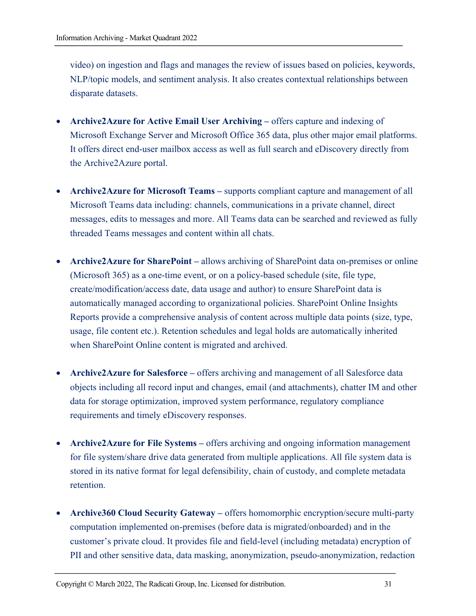video) on ingestion and flags and manages the review of issues based on policies, keywords, NLP/topic models, and sentiment analysis. It also creates contextual relationships between disparate datasets.

- **Archive2Azure for Active Email User Archiving –** offers capture and indexing of Microsoft Exchange Server and Microsoft Office 365 data, plus other major email platforms. It offers direct end-user mailbox access as well as full search and eDiscovery directly from the Archive2Azure portal.
- **Archive2Azure for Microsoft Teams** supports compliant capture and management of all Microsoft Teams data including: channels, communications in a private channel, direct messages, edits to messages and more. All Teams data can be searched and reviewed as fully threaded Teams messages and content within all chats.
- **Archive2Azure for SharePoint –** allows archiving of SharePoint data on-premises or online (Microsoft 365) as a one-time event, or on a policy-based schedule (site, file type, create/modification/access date, data usage and author) to ensure SharePoint data is automatically managed according to organizational policies. SharePoint Online Insights Reports provide a comprehensive analysis of content across multiple data points (size, type, usage, file content etc.). Retention schedules and legal holds are automatically inherited when SharePoint Online content is migrated and archived.
- **Archive2Azure for Salesforce** offers archiving and management of all Salesforce data objects including all record input and changes, email (and attachments), chatter IM and other data for storage optimization, improved system performance, regulatory compliance requirements and timely eDiscovery responses.
- **Archive2Azure for File Systems** offers archiving and ongoing information management for file system/share drive data generated from multiple applications. All file system data is stored in its native format for legal defensibility, chain of custody, and complete metadata retention.
- **Archive360 Cloud Security Gateway –** offers homomorphic encryption/secure multi-party computation implemented on-premises (before data is migrated/onboarded) and in the customer's private cloud. It provides file and field-level (including metadata) encryption of PII and other sensitive data, data masking, anonymization, pseudo-anonymization, redaction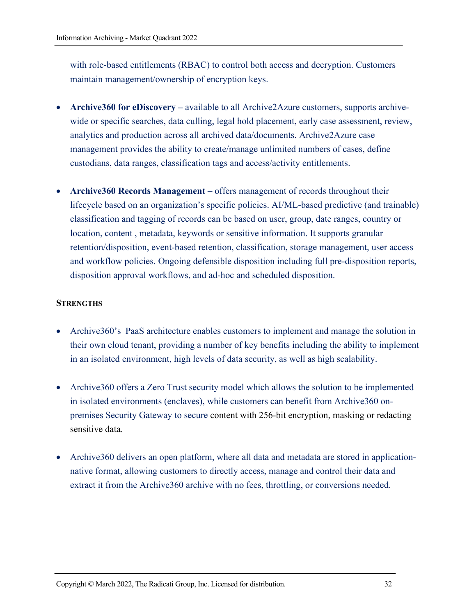with role-based entitlements (RBAC) to control both access and decryption. Customers maintain management/ownership of encryption keys.

- **Archive360 for eDiscovery –** available to all Archive2Azure customers, supports archivewide or specific searches, data culling, legal hold placement, early case assessment, review, analytics and production across all archived data/documents. Archive2Azure case management provides the ability to create/manage unlimited numbers of cases, define custodians, data ranges, classification tags and access/activity entitlements.
- **Archive360 Records Management –** offers management of records throughout their lifecycle based on an organization's specific policies. AI/ML-based predictive (and trainable) classification and tagging of records can be based on user, group, date ranges, country or location, content , metadata, keywords or sensitive information. It supports granular retention/disposition, event-based retention, classification, storage management, user access and workflow policies. Ongoing defensible disposition including full pre-disposition reports, disposition approval workflows, and ad-hoc and scheduled disposition.

#### **STRENGTHS**

- Archive360's PaaS architecture enables customers to implement and manage the solution in their own cloud tenant, providing a number of key benefits including the ability to implement in an isolated environment, high levels of data security, as well as high scalability.
- Archive360 offers a Zero Trust security model which allows the solution to be implemented in isolated environments (enclaves), while customers can benefit from Archive360 onpremises Security Gateway to secure content with 256-bit encryption, masking or redacting sensitive data.
- Archive360 delivers an open platform, where all data and metadata are stored in applicationnative format, allowing customers to directly access, manage and control their data and extract it from the Archive360 archive with no fees, throttling, or conversions needed.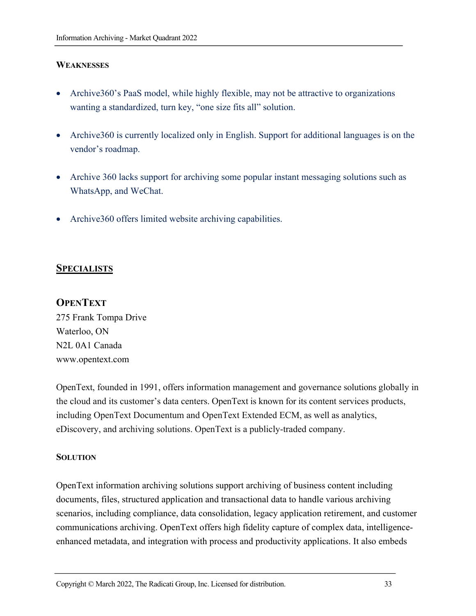#### **WEAKNESSES**

- Archive360's PaaS model, while highly flexible, may not be attractive to organizations wanting a standardized, turn key, "one size fits all" solution.
- Archive360 is currently localized only in English. Support for additional languages is on the vendor's roadmap.
- Archive 360 lacks support for archiving some popular instant messaging solutions such as WhatsApp, and WeChat.
- Archive 360 offers limited website archiving capabilities.

#### **SPECIALISTS**

#### **OPENTEXT**

275 Frank Tompa Drive Waterloo, ON N2L 0A1 Canada www.opentext.com

OpenText, founded in 1991, offers information management and governance solutions globally in the cloud and its customer's data centers. OpenText is known for its content services products, including OpenText Documentum and OpenText Extended ECM, as well as analytics, eDiscovery, and archiving solutions. OpenText is a publicly-traded company.

#### **SOLUTION**

OpenText information archiving solutions support archiving of business content including documents, files, structured application and transactional data to handle various archiving scenarios, including compliance, data consolidation, legacy application retirement, and customer communications archiving. OpenText offers high fidelity capture of complex data, intelligenceenhanced metadata, and integration with process and productivity applications. It also embeds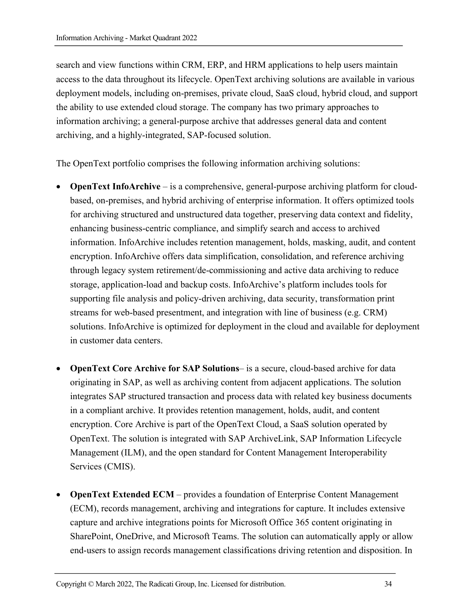search and view functions within CRM, ERP, and HRM applications to help users maintain access to the data throughout its lifecycle. OpenText archiving solutions are available in various deployment models, including on-premises, private cloud, SaaS cloud, hybrid cloud, and support the ability to use extended cloud storage. The company has two primary approaches to information archiving; a general-purpose archive that addresses general data and content archiving, and a highly-integrated, SAP-focused solution.

The OpenText portfolio comprises the following information archiving solutions:

- **OpenText InfoArchive** is a comprehensive, general-purpose archiving platform for cloudbased, on-premises, and hybrid archiving of enterprise information. It offers optimized tools for archiving structured and unstructured data together, preserving data context and fidelity, enhancing business-centric compliance, and simplify search and access to archived information. InfoArchive includes retention management, holds, masking, audit, and content encryption. InfoArchive offers data simplification, consolidation, and reference archiving through legacy system retirement/de-commissioning and active data archiving to reduce storage, application-load and backup costs. InfoArchive's platform includes tools for supporting file analysis and policy-driven archiving, data security, transformation print streams for web-based presentment, and integration with line of business (e.g. CRM) solutions. InfoArchive is optimized for deployment in the cloud and available for deployment in customer data centers.
- **OpenText Core Archive for SAP Solutions** is a secure, cloud-based archive for data originating in SAP, as well as archiving content from adjacent applications. The solution integrates SAP structured transaction and process data with related key business documents in a compliant archive. It provides retention management, holds, audit, and content encryption. Core Archive is part of the OpenText Cloud, a SaaS solution operated by OpenText. The solution is integrated with SAP ArchiveLink, SAP Information Lifecycle Management (ILM), and the open standard for Content Management Interoperability Services (CMIS).
- **OpenText Extended ECM**  provides a foundation of Enterprise Content Management (ECM), records management, archiving and integrations for capture. It includes extensive capture and archive integrations points for Microsoft Office 365 content originating in SharePoint, OneDrive, and Microsoft Teams. The solution can automatically apply or allow end-users to assign records management classifications driving retention and disposition. In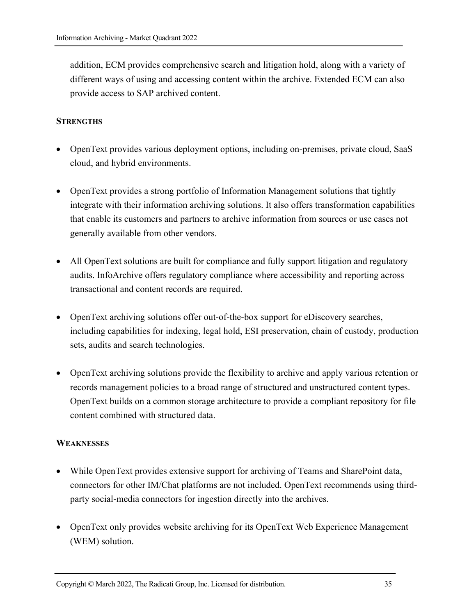addition, ECM provides comprehensive search and litigation hold, along with a variety of different ways of using and accessing content within the archive. Extended ECM can also provide access to SAP archived content.

#### **STRENGTHS**

- OpenText provides various deployment options, including on-premises, private cloud, SaaS cloud, and hybrid environments.
- OpenText provides a strong portfolio of Information Management solutions that tightly integrate with their information archiving solutions. It also offers transformation capabilities that enable its customers and partners to archive information from sources or use cases not generally available from other vendors.
- All OpenText solutions are built for compliance and fully support litigation and regulatory audits. InfoArchive offers regulatory compliance where accessibility and reporting across transactional and content records are required.
- OpenText archiving solutions offer out-of-the-box support for eDiscovery searches, including capabilities for indexing, legal hold, ESI preservation, chain of custody, production sets, audits and search technologies.
- OpenText archiving solutions provide the flexibility to archive and apply various retention or records management policies to a broad range of structured and unstructured content types. OpenText builds on a common storage architecture to provide a compliant repository for file content combined with structured data.

#### **WEAKNESSES**

- While OpenText provides extensive support for archiving of Teams and SharePoint data, connectors for other IM/Chat platforms are not included. OpenText recommends using thirdparty social-media connectors for ingestion directly into the archives.
- OpenText only provides website archiving for its OpenText Web Experience Management (WEM) solution.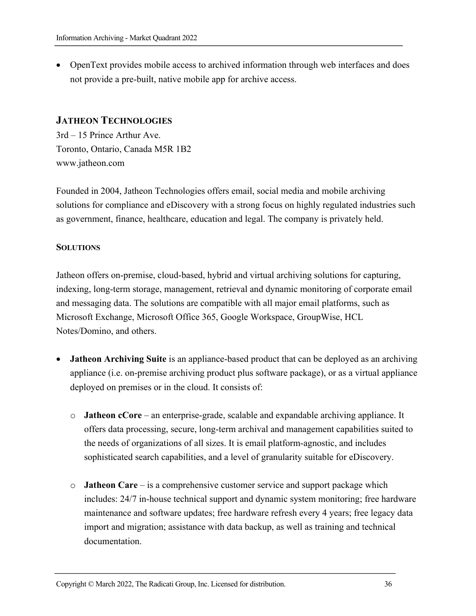• OpenText provides mobile access to archived information through web interfaces and does not provide a pre-built, native mobile app for archive access.

#### **JATHEON TECHNOLOGIES**

3rd – 15 Prince Arthur Ave. Toronto, Ontario, Canada M5R 1B2 www.jatheon.com

Founded in 2004, Jatheon Technologies offers email, social media and mobile archiving solutions for compliance and eDiscovery with a strong focus on highly regulated industries such as government, finance, healthcare, education and legal. The company is privately held.

#### **SOLUTIONS**

Jatheon offers on-premise, cloud-based, hybrid and virtual archiving solutions for capturing, indexing, long-term storage, management, retrieval and dynamic monitoring of corporate email and messaging data. The solutions are compatible with all major email platforms, such as Microsoft Exchange, Microsoft Office 365, Google Workspace, GroupWise, HCL Notes/Domino, and others.

- **Jatheon Archiving Suite** is an appliance-based product that can be deployed as an archiving appliance (i.e. on-premise archiving product plus software package), or as a virtual appliance deployed on premises or in the cloud. It consists of:
	- o **Jatheon cCore** ‒ an enterprise-grade, scalable and expandable archiving appliance. It offers data processing, secure, long-term archival and management capabilities suited to the needs of organizations of all sizes. It is email platform-agnostic, and includes sophisticated search capabilities, and a level of granularity suitable for eDiscovery.
	- o **Jatheon Care** is a comprehensive customer service and support package which includes: 24/7 in-house technical support and dynamic system monitoring; free hardware maintenance and software updates; free hardware refresh every 4 years; free legacy data import and migration; assistance with data backup, as well as training and technical documentation.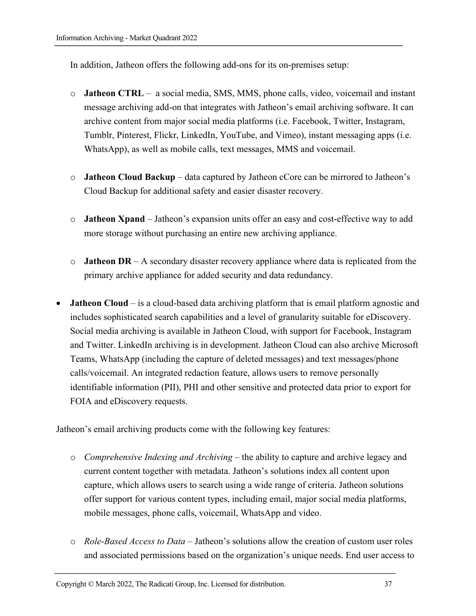In addition, Jatheon offers the following add-ons for its on-premises setup:

- o **Jatheon CTRL** ‒ a social media, SMS, MMS, phone calls, video, voicemail and instant message archiving add-on that integrates with Jatheon's email archiving software. It can archive content from major social media platforms (i.e. Facebook, Twitter, Instagram, Tumblr, Pinterest, Flickr, LinkedIn, YouTube, and Vimeo), instant messaging apps (i.e. WhatsApp), as well as mobile calls, text messages, MMS and voicemail.
- o **Jatheon Cloud Backup** data captured by Jatheon cCore can be mirrored to Jatheon's Cloud Backup for additional safety and easier disaster recovery.
- o **Jatheon Xpand** ‒ Jatheon's expansion units offer an easy and cost-effective way to add more storage without purchasing an entire new archiving appliance.
- o **Jatheon DR**  A secondary disaster recovery appliance where data is replicated from the primary archive appliance for added security and data redundancy.
- **Jatheon Cloud**  is a cloud-based data archiving platform that is email platform agnostic and includes sophisticated search capabilities and a level of granularity suitable for eDiscovery. Social media archiving is available in Jatheon Cloud, with support for Facebook, Instagram and Twitter. LinkedIn archiving is in development. Jatheon Cloud can also archive Microsoft Teams, WhatsApp (including the capture of deleted messages) and text messages/phone calls/voicemail. An integrated redaction feature, allows users to remove personally identifiable information (PII), PHI and other sensitive and protected data prior to export for FOIA and eDiscovery requests.

Jatheon's email archiving products come with the following key features:

- o *Comprehensive Indexing and Archiving* ‒ the ability to capture and archive legacy and current content together with metadata. Jatheon's solutions index all content upon capture, which allows users to search using a wide range of criteria. Jatheon solutions offer support for various content types, including email, major social media platforms, mobile messages, phone calls, voicemail, WhatsApp and video.
- o *Role-Based Access to Data* ‒ Jatheon's solutions allow the creation of custom user roles and associated permissions based on the organization's unique needs. End user access to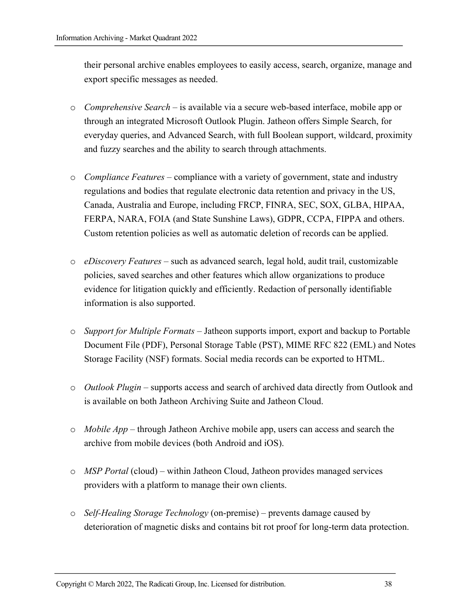their personal archive enables employees to easily access, search, organize, manage and export specific messages as needed.

- o *Comprehensive Search ‒* is available via a secure web-based interface, mobile app or through an integrated Microsoft Outlook Plugin. Jatheon offers Simple Search, for everyday queries, and Advanced Search, with full Boolean support, wildcard, proximity and fuzzy searches and the ability to search through attachments.
- o *Compliance Features* ‒ compliance with a variety of government, state and industry regulations and bodies that regulate electronic data retention and privacy in the US, Canada, Australia and Europe, including FRCP, FINRA, SEC, SOX, GLBA, HIPAA, FERPA, NARA, FOIA (and State Sunshine Laws), GDPR, CCPA, FIPPA and others. Custom retention policies as well as automatic deletion of records can be applied.
- o *eDiscovery Features* ‒ such as advanced search, legal hold, audit trail, customizable policies, saved searches and other features which allow organizations to produce evidence for litigation quickly and efficiently. Redaction of personally identifiable information is also supported.
- o *Support for Multiple Formats* ‒ Jatheon supports import, export and backup to Portable Document File (PDF), Personal Storage Table (PST), MIME RFC 822 (EML) and Notes Storage Facility (NSF) formats. Social media records can be exported to HTML.
- o *Outlook Plugin –* supports access and search of archived data directly from Outlook and is available on both Jatheon Archiving Suite and Jatheon Cloud.
- o *Mobile App –* through Jatheon Archive mobile app, users can access and search the archive from mobile devices (both Android and iOS).
- o *MSP Portal* (cloud) *–* within Jatheon Cloud, Jatheon provides managed services providers with a platform to manage their own clients.
- o *Self-Healing Storage Technology* (on-premise) ‒ prevents damage caused by deterioration of magnetic disks and contains bit rot proof for long-term data protection.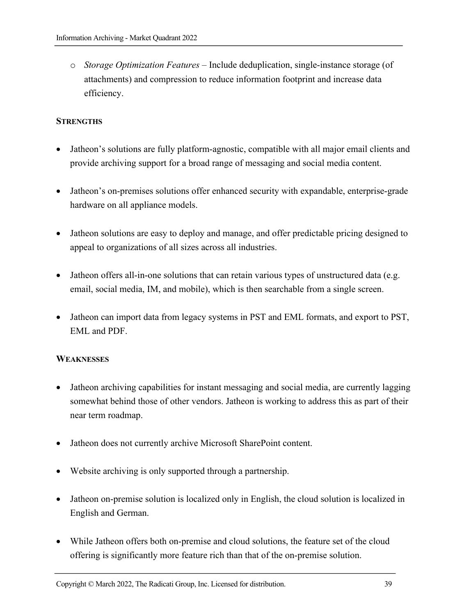o *Storage Optimization Features ‒* Include deduplication, single-instance storage (of attachments) and compression to reduce information footprint and increase data efficiency.

#### **STRENGTHS**

- Jatheon's solutions are fully platform-agnostic, compatible with all major email clients and provide archiving support for a broad range of messaging and social media content.
- Jatheon's on-premises solutions offer enhanced security with expandable, enterprise-grade hardware on all appliance models.
- Jatheon solutions are easy to deploy and manage, and offer predictable pricing designed to appeal to organizations of all sizes across all industries.
- Jatheon offers all-in-one solutions that can retain various types of unstructured data (e.g. email, social media, IM, and mobile), which is then searchable from a single screen.
- Jatheon can import data from legacy systems in PST and EML formats, and export to PST, EML and PDF.

#### **WEAKNESSES**

- Jatheon archiving capabilities for instant messaging and social media, are currently lagging somewhat behind those of other vendors. Jatheon is working to address this as part of their near term roadmap.
- Jatheon does not currently archive Microsoft SharePoint content.
- Website archiving is only supported through a partnership.
- Jatheon on-premise solution is localized only in English, the cloud solution is localized in English and German.
- While Jatheon offers both on-premise and cloud solutions, the feature set of the cloud offering is significantly more feature rich than that of the on-premise solution.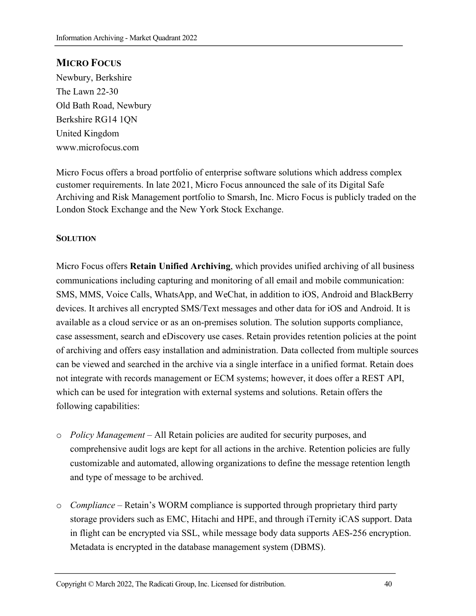#### **MICRO FOCUS**

Newbury, Berkshire The Lawn 22-30 Old Bath Road, Newbury Berkshire RG14 1QN United Kingdom www.microfocus.com

Micro Focus offers a broad portfolio of enterprise software solutions which address complex customer requirements. In late 2021, Micro Focus announced the sale of its Digital Safe Archiving and Risk Management portfolio to Smarsh, Inc. Micro Focus is publicly traded on the London Stock Exchange and the New York Stock Exchange.

#### **SOLUTION**

Micro Focus offers **Retain Unified Archiving**, which provides unified archiving of all business communications including capturing and monitoring of all email and mobile communication: SMS, MMS, Voice Calls, WhatsApp, and WeChat, in addition to iOS, Android and BlackBerry devices. It archives all encrypted SMS/Text messages and other data for iOS and Android. It is available as a cloud service or as an on-premises solution. The solution supports compliance, case assessment, search and eDiscovery use cases. Retain provides retention policies at the point of archiving and offers easy installation and administration. Data collected from multiple sources can be viewed and searched in the archive via a single interface in a unified format. Retain does not integrate with records management or ECM systems; however, it does offer a REST API, which can be used for integration with external systems and solutions. Retain offers the following capabilities:

- o *Policy Management* All Retain policies are audited for security purposes, and comprehensive audit logs are kept for all actions in the archive. Retention policies are fully customizable and automated, allowing organizations to define the message retention length and type of message to be archived.
- o *Compliance* Retain's WORM compliance is supported through proprietary third party storage providers such as EMC, Hitachi and HPE, and through iTernity iCAS support. Data in flight can be encrypted via SSL, while message body data supports AES-256 encryption. Metadata is encrypted in the database management system (DBMS).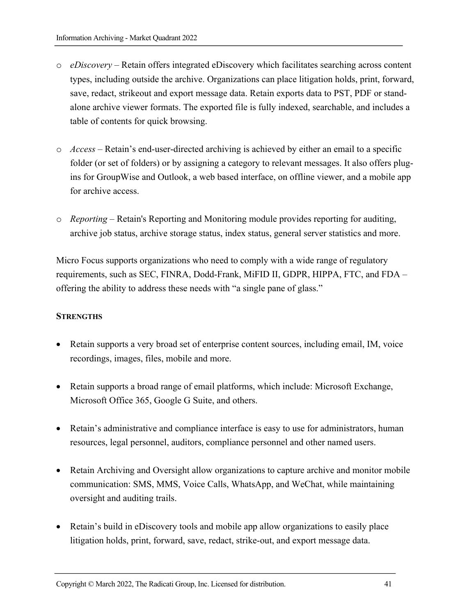- o *eDiscovery –* Retain offers integrated eDiscovery which facilitates searching across content types, including outside the archive. Organizations can place litigation holds, print, forward, save, redact, strikeout and export message data. Retain exports data to PST, PDF or standalone archive viewer formats. The exported file is fully indexed, searchable, and includes a table of contents for quick browsing.
- o *Access*  Retain's end-user-directed archiving is achieved by either an email to a specific folder (or set of folders) or by assigning a category to relevant messages. It also offers plugins for GroupWise and Outlook, a web based interface, on offline viewer, and a mobile app for archive access.
- o *Reporting*  Retain's Reporting and Monitoring module provides reporting for auditing, archive job status, archive storage status, index status, general server statistics and more.

Micro Focus supports organizations who need to comply with a wide range of regulatory requirements, such as SEC, FINRA, Dodd-Frank, MiFID II, GDPR, HIPPA, FTC, and FDA – offering the ability to address these needs with "a single pane of glass."

#### **STRENGTHS**

- Retain supports a very broad set of enterprise content sources, including email, IM, voice recordings, images, files, mobile and more.
- Retain supports a broad range of email platforms, which include: Microsoft Exchange, Microsoft Office 365, Google G Suite, and others.
- Retain's administrative and compliance interface is easy to use for administrators, human resources, legal personnel, auditors, compliance personnel and other named users.
- Retain Archiving and Oversight allow organizations to capture archive and monitor mobile communication: SMS, MMS, Voice Calls, WhatsApp, and WeChat, while maintaining oversight and auditing trails.
- Retain's build in eDiscovery tools and mobile app allow organizations to easily place litigation holds, print, forward, save, redact, strike-out, and export message data.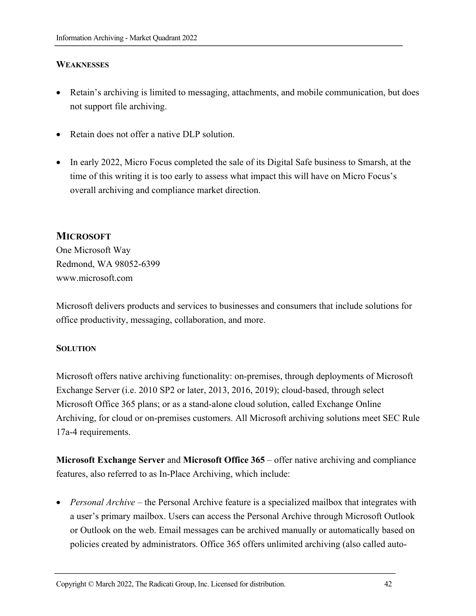#### **WEAKNESSES**

- Retain's archiving is limited to messaging, attachments, and mobile communication, but does not support file archiving.
- Retain does not offer a native DLP solution.
- In early 2022, Micro Focus completed the sale of its Digital Safe business to Smarsh, at the time of this writing it is too early to assess what impact this will have on Micro Focus's overall archiving and compliance market direction.

#### **MICROSOFT**

One Microsoft Way Redmond, WA 98052-6399 www.microsoft.com

Microsoft delivers products and services to businesses and consumers that include solutions for office productivity, messaging, collaboration, and more.

#### **SOLUTION**

Microsoft offers native archiving functionality: on-premises, through deployments of Microsoft Exchange Server (i.e. 2010 SP2 or later, 2013, 2016, 2019); cloud-based, through select Microsoft Office 365 plans; or as a stand-alone cloud solution, called Exchange Online Archiving, for cloud or on-premises customers. All Microsoft archiving solutions meet SEC Rule 17a-4 requirements.

**Microsoft Exchange Server** and **Microsoft Office 365** – offer native archiving and compliance features, also referred to as In-Place Archiving, which include:

• *Personal Archive* – the Personal Archive feature is a specialized mailbox that integrates with a user's primary mailbox. Users can access the Personal Archive through Microsoft Outlook or Outlook on the web. Email messages can be archived manually or automatically based on policies created by administrators. Office 365 offers unlimited archiving (also called auto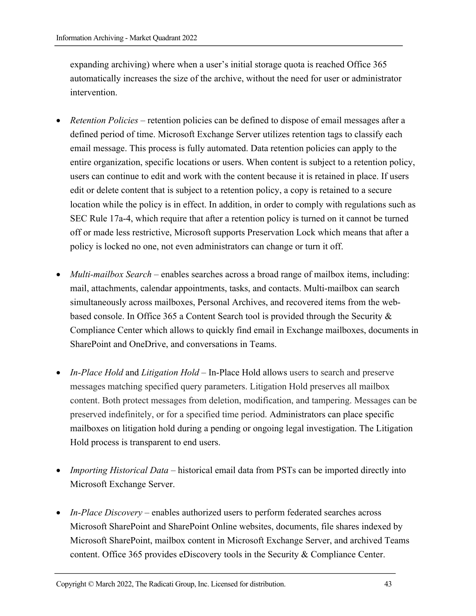expanding archiving) where when a user's initial storage quota is reached Office 365 automatically increases the size of the archive, without the need for user or administrator intervention.

- *Retention Policies* retention policies can be defined to dispose of email messages after a defined period of time. Microsoft Exchange Server utilizes retention tags to classify each email message. This process is fully automated. Data retention policies can apply to the entire organization, specific locations or users. When content is subject to a retention policy, users can continue to edit and work with the content because it is retained in place. If users edit or delete content that is subject to a retention policy, a copy is retained to a secure location while the policy is in effect. In addition, in order to comply with regulations such as SEC Rule 17a-4, which require that after a retention policy is turned on it cannot be turned off or made less restrictive, Microsoft supports Preservation Lock which means that after a policy is locked no one, not even administrators can change or turn it off.
- *Multi-mailbox Search* enables searches across a broad range of mailbox items, including: mail, attachments, calendar appointments, tasks, and contacts. Multi-mailbox can search simultaneously across mailboxes, Personal Archives, and recovered items from the webbased console. In Office 365 a Content Search tool is provided through the Security & Compliance Center which allows to quickly find email in Exchange mailboxes, documents in SharePoint and OneDrive, and conversations in Teams.
- *In-Place Hold* and *Litigation Hold* In-Place Hold allows users to search and preserve messages matching specified query parameters. Litigation Hold preserves all mailbox content. Both protect messages from deletion, modification, and tampering. Messages can be preserved indefinitely, or for a specified time period. Administrators can place specific mailboxes on litigation hold during a pending or ongoing legal investigation. The Litigation Hold process is transparent to end users.
- *Importing Historical Data* historical email data from PSTs can be imported directly into Microsoft Exchange Server.
- *In-Place Discovery* enables authorized users to perform federated searches across Microsoft SharePoint and SharePoint Online websites, documents, file shares indexed by Microsoft SharePoint, mailbox content in Microsoft Exchange Server, and archived Teams content. Office 365 provides eDiscovery tools in the Security & Compliance Center.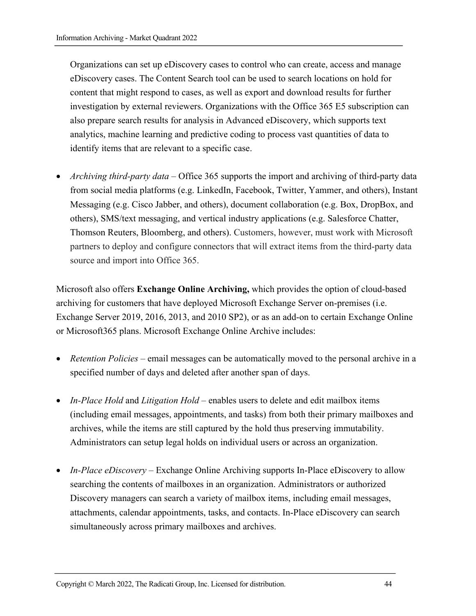Organizations can set up eDiscovery cases to control who can create, access and manage eDiscovery cases. The Content Search tool can be used to search locations on hold for content that might respond to cases, as well as export and download results for further investigation by external reviewers. Organizations with the Office 365 E5 subscription can also prepare search results for analysis in Advanced eDiscovery, which supports text analytics, machine learning and predictive coding to process vast quantities of data to identify items that are relevant to a specific case.

• *Archiving third-party data* – Office 365 supports the import and archiving of third-party data from social media platforms (e.g. LinkedIn, Facebook, Twitter, Yammer, and others), Instant Messaging (e.g. Cisco Jabber, and others), document collaboration (e.g. Box, DropBox, and others), SMS/text messaging, and vertical industry applications (e.g. Salesforce Chatter, Thomson Reuters, Bloomberg, and others). Customers, however, must work with Microsoft partners to deploy and configure connectors that will extract items from the third-party data source and import into Office 365.

Microsoft also offers **Exchange Online Archiving,** which provides the option of cloud-based archiving for customers that have deployed Microsoft Exchange Server on-premises (i.e. Exchange Server 2019, 2016, 2013, and 2010 SP2), or as an add-on to certain Exchange Online or Microsoft365 plans. Microsoft Exchange Online Archive includes:

- *Retention Policies*  email messages can be automatically moved to the personal archive in a specified number of days and deleted after another span of days.
- *In-Place Hold* and *Litigation Hold* enables users to delete and edit mailbox items (including email messages, appointments, and tasks) from both their primary mailboxes and archives, while the items are still captured by the hold thus preserving immutability. Administrators can setup legal holds on individual users or across an organization.
- *In-Place eDiscovery* Exchange Online Archiving supports In-Place eDiscovery to allow searching the contents of mailboxes in an organization. Administrators or authorized Discovery managers can search a variety of mailbox items, including email messages, attachments, calendar appointments, tasks, and contacts. In-Place eDiscovery can search simultaneously across primary mailboxes and archives.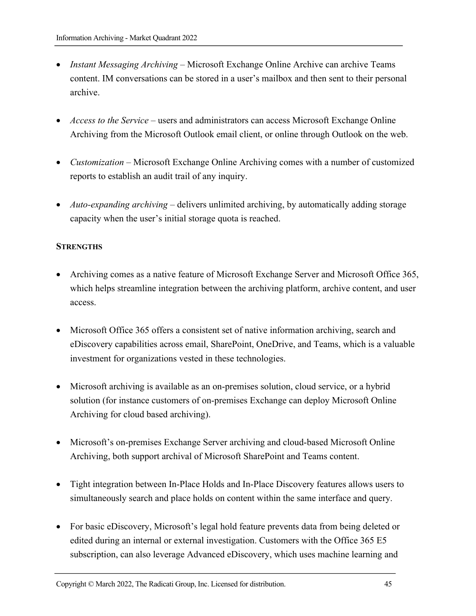- *Instant Messaging Archiving* Microsoft Exchange Online Archive can archive Teams content. IM conversations can be stored in a user's mailbox and then sent to their personal archive.
- *Access to the Service* users and administrators can access Microsoft Exchange Online Archiving from the Microsoft Outlook email client, or online through Outlook on the web.
- *Customization* Microsoft Exchange Online Archiving comes with a number of customized reports to establish an audit trail of any inquiry.
- *Auto-expanding archiving* delivers unlimited archiving, by automatically adding storage capacity when the user's initial storage quota is reached.

#### **STRENGTHS**

- Archiving comes as a native feature of Microsoft Exchange Server and Microsoft Office 365, which helps streamline integration between the archiving platform, archive content, and user access.
- Microsoft Office 365 offers a consistent set of native information archiving, search and eDiscovery capabilities across email, SharePoint, OneDrive, and Teams, which is a valuable investment for organizations vested in these technologies.
- Microsoft archiving is available as an on-premises solution, cloud service, or a hybrid solution (for instance customers of on-premises Exchange can deploy Microsoft Online Archiving for cloud based archiving).
- Microsoft's on-premises Exchange Server archiving and cloud-based Microsoft Online Archiving, both support archival of Microsoft SharePoint and Teams content.
- Tight integration between In-Place Holds and In-Place Discovery features allows users to simultaneously search and place holds on content within the same interface and query.
- For basic eDiscovery, Microsoft's legal hold feature prevents data from being deleted or edited during an internal or external investigation. Customers with the Office 365 E5 subscription, can also leverage Advanced eDiscovery, which uses machine learning and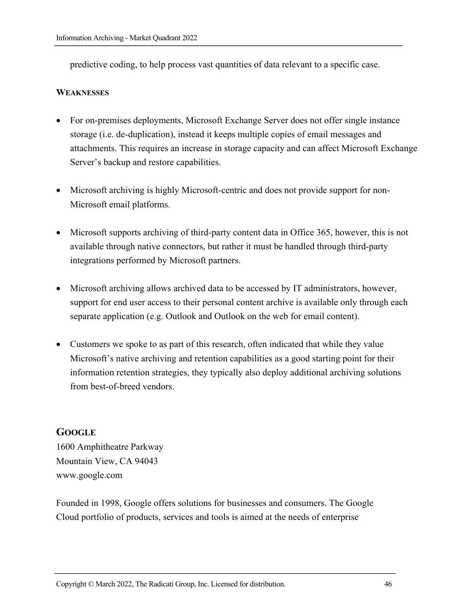predictive coding, to help process vast quantities of data relevant to a specific case.

#### **WEAKNESSES**

- For on-premises deployments, Microsoft Exchange Server does not offer single instance storage (i.e. de-duplication), instead it keeps multiple copies of email messages and attachments. This requires an increase in storage capacity and can affect Microsoft Exchange Server's backup and restore capabilities.
- Microsoft archiving is highly Microsoft-centric and does not provide support for non-Microsoft email platforms.
- Microsoft supports archiving of third-party content data in Office 365, however, this is not available through native connectors, but rather it must be handled through third-party integrations performed by Microsoft partners.
- Microsoft archiving allows archived data to be accessed by IT administrators, however, support for end user access to their personal content archive is available only through each separate application (e.g. Outlook and Outlook on the web for email content).
- Customers we spoke to as part of this research, often indicated that while they value Microsoft's native archiving and retention capabilities as a good starting point for their information retention strategies, they typically also deploy additional archiving solutions from best-of-breed vendors.

#### **GOOGLE**

1600 Amphitheatre Parkway Mountain View, CA 94043 www.google.com

Founded in 1998, Google offers solutions for businesses and consumers. The Google Cloud portfolio of products, services and tools is aimed at the needs of enterprise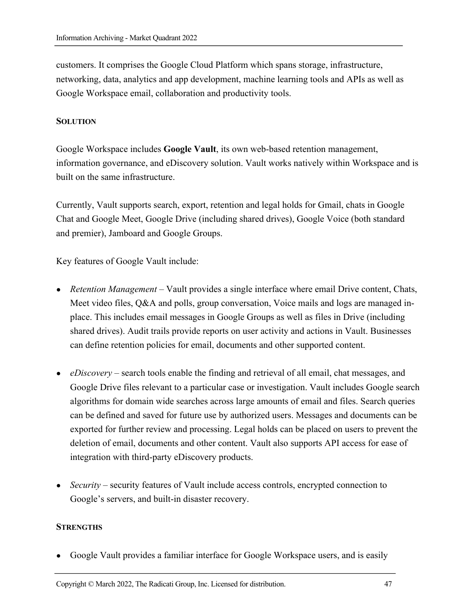customers. It comprises the Google Cloud Platform which spans storage, infrastructure, networking, data, analytics and app development, machine learning tools and APIs as well as Google Workspace email, collaboration and productivity tools.

#### **SOLUTION**

Google Workspace includes **Google Vault**, its own web-based retention management, information governance, and eDiscovery solution. Vault works natively within Workspace and is built on the same infrastructure.

Currently, Vault supports search, export, retention and legal holds for Gmail, chats in Google Chat and Google Meet, Google Drive (including shared drives), Google Voice (both standard and premier), Jamboard and Google Groups.

Key features of Google Vault include:

- *Retention Management* Vault provides a single interface where email Drive content, Chats, Meet video files, Q&A and polls, group conversation, Voice mails and logs are managed inplace. This includes email messages in Google Groups as well as files in Drive (including shared drives). Audit trails provide reports on user activity and actions in Vault. Businesses can define retention policies for email, documents and other supported content.
- *eDiscovery* search tools enable the finding and retrieval of all email, chat messages, and Google Drive files relevant to a particular case or investigation. Vault includes Google search algorithms for domain wide searches across large amounts of email and files. Search queries can be defined and saved for future use by authorized users. Messages and documents can be exported for further review and processing. Legal holds can be placed on users to prevent the deletion of email, documents and other content. Vault also supports API access for ease of integration with third-party eDiscovery products.
- *Security* security features of Vault include access controls, encrypted connection to Google's servers, and built-in disaster recovery.

#### **STRENGTHS**

Google Vault provides a familiar interface for Google Workspace users, and is easily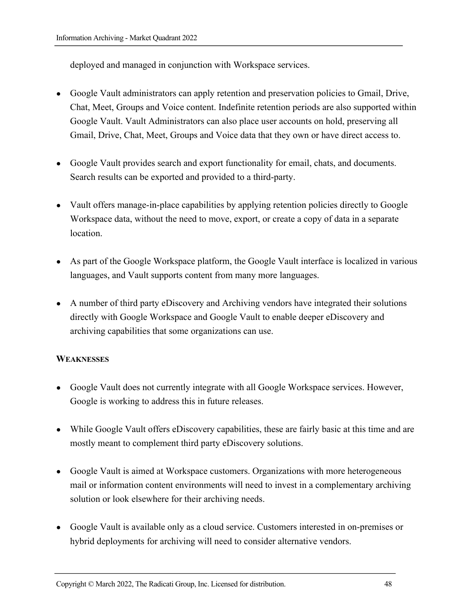deployed and managed in conjunction with Workspace services.

- Google Vault administrators can apply retention and preservation policies to Gmail, Drive, Chat, Meet, Groups and Voice content. Indefinite retention periods are also supported within Google Vault. Vault Administrators can also place user accounts on hold, preserving all Gmail, Drive, Chat, Meet, Groups and Voice data that they own or have direct access to.
- Google Vault provides search and export functionality for email, chats, and documents. Search results can be exported and provided to a third-party.
- Vault offers manage-in-place capabilities by applying retention policies directly to Google Workspace data, without the need to move, export, or create a copy of data in a separate location.
- As part of the Google Workspace platform, the Google Vault interface is localized in various languages, and Vault supports content from many more languages.
- A number of third party eDiscovery and Archiving vendors have integrated their solutions directly with Google Workspace and Google Vault to enable deeper eDiscovery and archiving capabilities that some organizations can use.

#### **WEAKNESSES**

- Google Vault does not currently integrate with all Google Workspace services. However, Google is working to address this in future releases.
- While Google Vault offers eDiscovery capabilities, these are fairly basic at this time and are mostly meant to complement third party eDiscovery solutions.
- Google Vault is aimed at Workspace customers. Organizations with more heterogeneous mail or information content environments will need to invest in a complementary archiving solution or look elsewhere for their archiving needs.
- Google Vault is available only as a cloud service. Customers interested in on-premises or hybrid deployments for archiving will need to consider alternative vendors.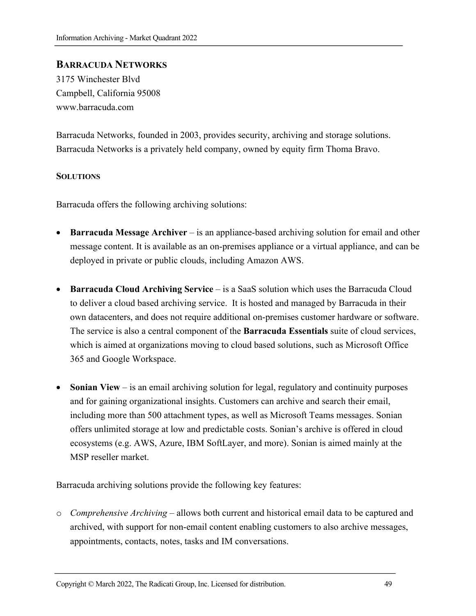#### **BARRACUDA NETWORKS**

3175 Winchester Blvd Campbell, California 95008 www.barracuda.com

Barracuda Networks, founded in 2003, provides security, archiving and storage solutions. Barracuda Networks is a privately held company, owned by equity firm Thoma Bravo.

#### **SOLUTIONS**

Barracuda offers the following archiving solutions:

- **Barracuda Message Archiver** is an appliance-based archiving solution for email and other message content. It is available as an on-premises appliance or a virtual appliance, and can be deployed in private or public clouds, including Amazon AWS.
- **Barracuda Cloud Archiving Service** is a SaaS solution which uses the Barracuda Cloud to deliver a cloud based archiving service. It is hosted and managed by Barracuda in their own datacenters, and does not require additional on-premises customer hardware or software. The service is also a central component of the **Barracuda Essentials** suite of cloud services, which is aimed at organizations moving to cloud based solutions, such as Microsoft Office 365 and Google Workspace.
- **Sonian View** is an email archiving solution for legal, regulatory and continuity purposes and for gaining organizational insights. Customers can archive and search their email, including more than 500 attachment types, as well as Microsoft Teams messages. Sonian offers unlimited storage at low and predictable costs. Sonian's archive is offered in cloud ecosystems (e.g. AWS, Azure, IBM SoftLayer, and more). Sonian is aimed mainly at the MSP reseller market.

Barracuda archiving solutions provide the following key features:

o *Comprehensive Archiving* – allows both current and historical email data to be captured and archived, with support for non-email content enabling customers to also archive messages, appointments, contacts, notes, tasks and IM conversations.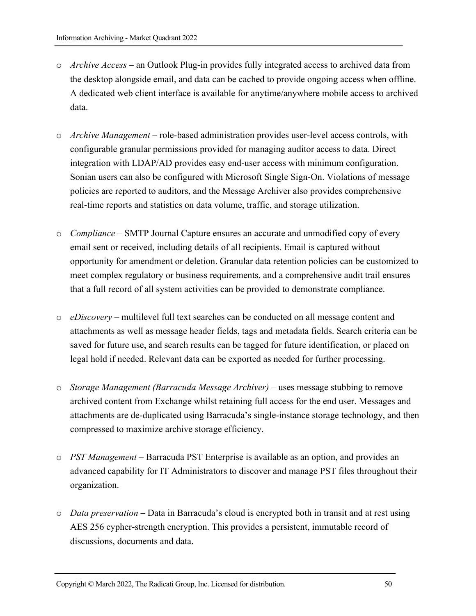- o *Archive Access* an Outlook Plug-in provides fully integrated access to archived data from the desktop alongside email, and data can be cached to provide ongoing access when offline. A dedicated web client interface is available for anytime/anywhere mobile access to archived data.
- o *Archive Management* role-based administration provides user-level access controls, with configurable granular permissions provided for managing auditor access to data. Direct integration with LDAP/AD provides easy end-user access with minimum configuration. Sonian users can also be configured with Microsoft Single Sign-On. Violations of message policies are reported to auditors, and the Message Archiver also provides comprehensive real-time reports and statistics on data volume, traffic, and storage utilization.
- o *Compliance* SMTP Journal Capture ensures an accurate and unmodified copy of every email sent or received, including details of all recipients. Email is captured without opportunity for amendment or deletion. Granular data retention policies can be customized to meet complex regulatory or business requirements, and a comprehensive audit trail ensures that a full record of all system activities can be provided to demonstrate compliance.
- o *eDiscovery* multilevel full text searches can be conducted on all message content and attachments as well as message header fields, tags and metadata fields. Search criteria can be saved for future use, and search results can be tagged for future identification, or placed on legal hold if needed. Relevant data can be exported as needed for further processing.
- o *Storage Management (Barracuda Message Archiver)*  uses message stubbing to remove archived content from Exchange whilst retaining full access for the end user. Messages and attachments are de-duplicated using Barracuda's single-instance storage technology, and then compressed to maximize archive storage efficiency.
- o *PST Management –* Barracuda PST Enterprise is available as an option, and provides an advanced capability for IT Administrators to discover and manage PST files throughout their organization.
- o *Data preservation* **–** Data in Barracuda's cloud is encrypted both in transit and at rest using AES 256 cypher-strength encryption. This provides a persistent, immutable record of discussions, documents and data.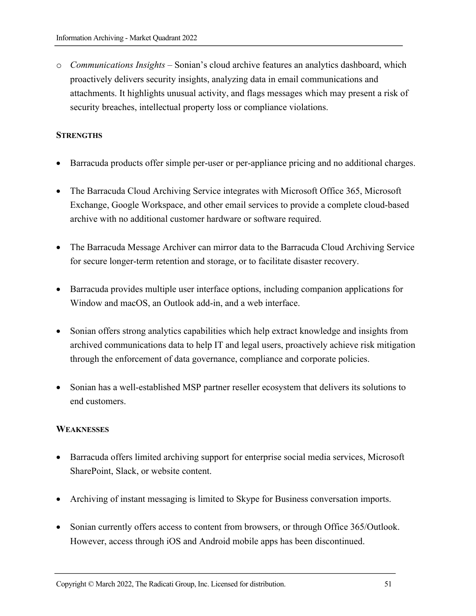o *Communications Insights –* Sonian's cloud archive features an analytics dashboard, which proactively delivers security insights, analyzing data in email communications and attachments. It highlights unusual activity, and flags messages which may present a risk of security breaches, intellectual property loss or compliance violations.

#### **STRENGTHS**

- Barracuda products offer simple per-user or per-appliance pricing and no additional charges.
- The Barracuda Cloud Archiving Service integrates with Microsoft Office 365, Microsoft Exchange, Google Workspace, and other email services to provide a complete cloud-based archive with no additional customer hardware or software required.
- The Barracuda Message Archiver can mirror data to the Barracuda Cloud Archiving Service for secure longer-term retention and storage, or to facilitate disaster recovery.
- Barracuda provides multiple user interface options, including companion applications for Window and macOS, an Outlook add-in, and a web interface.
- Sonian offers strong analytics capabilities which help extract knowledge and insights from archived communications data to help IT and legal users, proactively achieve risk mitigation through the enforcement of data governance, compliance and corporate policies.
- Sonian has a well-established MSP partner reseller ecosystem that delivers its solutions to end customers.

#### **WEAKNESSES**

- Barracuda offers limited archiving support for enterprise social media services, Microsoft SharePoint, Slack, or website content.
- Archiving of instant messaging is limited to Skype for Business conversation imports.
- Sonian currently offers access to content from browsers, or through Office 365/Outlook. However, access through iOS and Android mobile apps has been discontinued.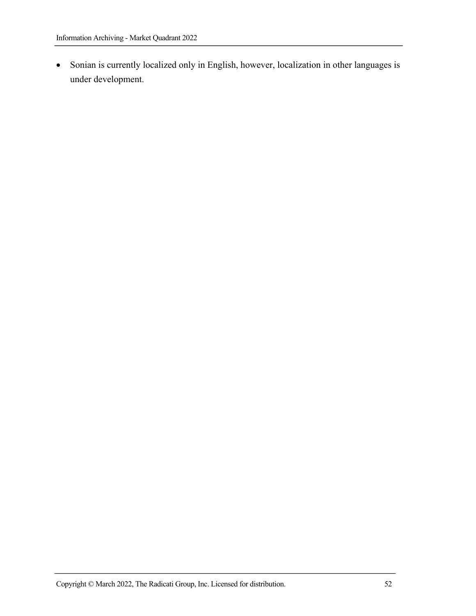• Sonian is currently localized only in English, however, localization in other languages is under development.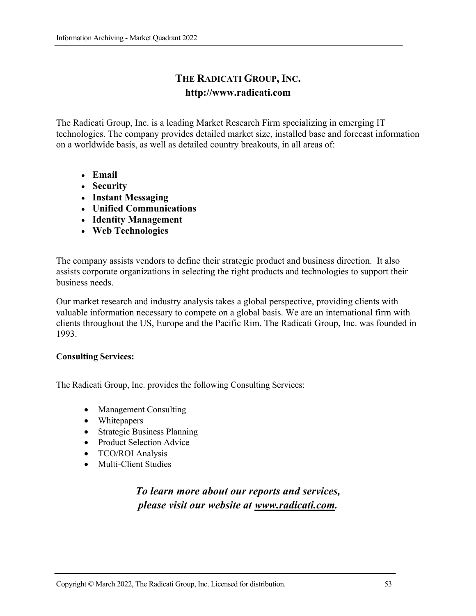# **THE RADICATI GROUP, INC. http://www.radicati.com**

The Radicati Group, Inc. is a leading Market Research Firm specializing in emerging IT technologies. The company provides detailed market size, installed base and forecast information on a worldwide basis, as well as detailed country breakouts, in all areas of:

- **Email**
- **Security**
- **Instant Messaging**
- **Unified Communications**
- **Identity Management**
- **Web Technologies**

The company assists vendors to define their strategic product and business direction. It also assists corporate organizations in selecting the right products and technologies to support their business needs.

Our market research and industry analysis takes a global perspective, providing clients with valuable information necessary to compete on a global basis. We are an international firm with clients throughout the US, Europe and the Pacific Rim. The Radicati Group, Inc. was founded in 1993.

#### **Consulting Services:**

The Radicati Group, Inc. provides the following Consulting Services:

- Management Consulting
- Whitepapers
- Strategic Business Planning
- Product Selection Advice
- TCO/ROI Analysis
- Multi-Client Studies

# *To learn more about our reports and services, please visit our website at www.radicati.com.*